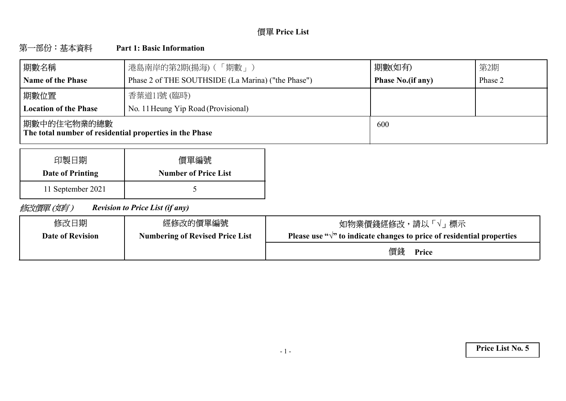# **Price List**

#### 第一部份:基本資料 **Part 1: Basic Information**

| 期數名稱                                                                    | 港島南岸的第2期(揚海) (「期數」)                                | 期數(如有)                   | 第2期     |
|-------------------------------------------------------------------------|----------------------------------------------------|--------------------------|---------|
| <b>Name of the Phase</b>                                                | Phase 2 of THE SOUTHSIDE (La Marina) ("the Phase") | <b>Phase No.(if any)</b> | Phase 2 |
| 期數位置                                                                    | 香葉道11號 (臨時)                                        |                          |         |
| <b>Location of the Phase</b>                                            | No. 11 Heung Yip Road (Provisional)                |                          |         |
| 期數中的住宅物業的總數 <br>The total number of residential properties in the Phase |                                                    | 600                      |         |

| 印製日期              | 價單編號                        |
|-------------------|-----------------------------|
| Date of Printing  | <b>Number of Price List</b> |
| 11 September 2021 |                             |

修改價單(如有) *Revision to Price List (if any)*

| 修改日期                    | 經修改的價單編號                               | 如物業價錢經修改,請以「√」標示                                                                 |
|-------------------------|----------------------------------------|----------------------------------------------------------------------------------|
| <b>Date of Revision</b> | <b>Numbering of Revised Price List</b> | Please use " $\sqrt{ }$ " to indicate changes to price of residential properties |
|                         |                                        | 價錢<br>Price                                                                      |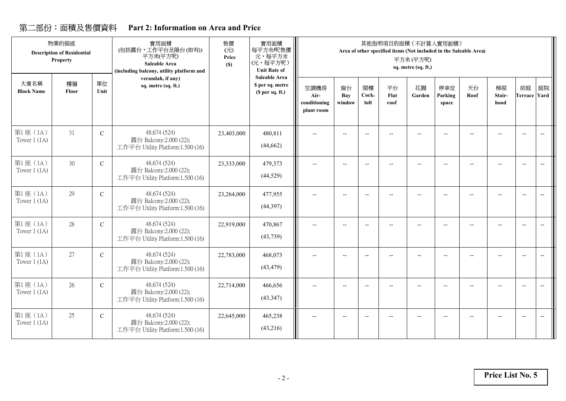## **Part 2: Information on Area and Price**

|                            | 物業的描述<br><b>Description of Residential</b><br><b>Property</b> |               | 實用面積<br>(包括露台,工作平台及陽台(如有))<br>平方米(平方呎)<br>Saleable Area<br>(including balcony, utility platform and | 售價<br>(元)<br>Price<br>(S) | 實用面積<br>每平方米/呎售價<br>元,每平方米<br>(元,每平方呎)<br><b>Unit Rate of</b> |                                            |                          |                          |                          | 其他指明項目的面積 (不計算入實用面積)<br>Area of other specified items (Not included in the Saleable Area)<br>平方米(平方呎)<br>sq. metre (sq. ft.) |                          |                          |                      |                           |                                   |
|----------------------------|---------------------------------------------------------------|---------------|-----------------------------------------------------------------------------------------------------|---------------------------|---------------------------------------------------------------|--------------------------------------------|--------------------------|--------------------------|--------------------------|------------------------------------------------------------------------------------------------------------------------------|--------------------------|--------------------------|----------------------|---------------------------|-----------------------------------|
| 大廈名稱<br><b>Block Name</b>  | 樓層<br>Floor                                                   | 單位<br>Unit    | verandah, if any)<br>sq. metre (sq. ft.)                                                            |                           | Saleable Area<br>\$ per sq. metre<br>(S per sq. ft.)          | 空調機房<br>Air-<br>conditioning<br>plant room | 窗台<br>Bay<br>window      | 閣樓<br>Cock-<br>loft      | 平台<br>Flat<br>roof       | 花園<br>Garden                                                                                                                 | 停車位<br>Parking<br>space  | 天台<br>Roof               | 梯屋<br>Stair-<br>hood | 前庭<br><b>Terrace</b> Yard | 庭院                                |
| 第1座 (1A)<br>Tower $1$ (1A) | 31                                                            | $\mathsf{C}$  | 48.674 (524)<br>露台 Balcony:2.000 (22);<br>工作平台 Utility Platform:1.500 (16)                          | 23,403,000                | 480,811<br>(44, 662)                                          | $\overline{\phantom{a}}$                   | $\overline{\phantom{a}}$ | $-$                      |                          |                                                                                                                              | $\overline{\phantom{a}}$ |                          |                      | $\overline{\phantom{a}}$  | $\overline{\phantom{a}}$          |
| 第1座(1A)<br>Tower $1(1A)$   | 30                                                            | $\mathbf C$   | 48.674 (524)<br>露台 Balcony:2.000 (22);<br>工作平台 Utility Platform:1.500 (16)                          | 23,333,000                | 479,373<br>(44, 529)                                          | $\overline{\phantom{a}}$                   | $-$                      | $\overline{\phantom{a}}$ | $-$                      | $\overline{\phantom{a}}$                                                                                                     | $\overline{\phantom{a}}$ |                          | $-$                  | $\overline{\phantom{a}}$  | $\overline{\phantom{a}}$          |
| 第1座(1A)<br>Tower $1(1A)$   | 29                                                            | $\mathbf C$   | 48.674 (524)<br>露台 Balcony:2.000 (22);<br>工作平台 Utility Platform:1.500 (16)                          | 23,264,000                | 477,955<br>(44, 397)                                          | $-$                                        | $\overline{\phantom{a}}$ | $\overline{\phantom{a}}$ | $\overline{\phantom{a}}$ | $-$                                                                                                                          | $\overline{\phantom{a}}$ |                          |                      | $\overline{\phantom{a}}$  | $\hspace{0.05cm} \dashrightarrow$ |
| 第1座(1A)<br>Tower $1(1A)$   | 28                                                            | $\mathcal{C}$ | 48.674 (524)<br>露台 Balcony:2.000 (22);<br>工作平台 Utility Platform:1.500 (16)                          | 22,919,000                | 470,867<br>(43, 739)                                          | $\overline{\phantom{a}}$                   | $\overline{\phantom{a}}$ | $\overline{\phantom{a}}$ | $-$                      | $\overline{\phantom{a}}$                                                                                                     | $-$                      | $\overline{\phantom{a}}$ | $\overline{a}$       | $\overline{\phantom{a}}$  | $\overline{\phantom{a}}$          |
| 第1座(1A)<br>Tower $1$ (1A)  | 27                                                            | $\mathcal{C}$ | 48.674 (524)<br>露台 Balcony:2.000 (22);<br>工作平台 Utility Platform:1.500 (16)                          | 22,783,000                | 468,073<br>(43, 479)                                          | $-$                                        | $\overline{a}$           | $\overline{\phantom{a}}$ | $-$                      | --                                                                                                                           | $-$                      |                          |                      | $\overline{\phantom{a}}$  | $\overline{\phantom{m}}$          |
| 第1座 (1A)<br>Tower $1(1A)$  | 26                                                            | $\mathcal{C}$ | 48.674 (524)<br>露台 Balcony:2.000 (22);<br>工作平台 Utility Platform:1.500 (16)                          | 22,714,000                | 466,656<br>(43, 347)                                          | $-$                                        | $\overline{\phantom{a}}$ | $-$                      | $-$                      | $-$                                                                                                                          | $-$                      |                          | $\overline{a}$       | $\overline{\phantom{a}}$  |                                   |
| 第1座 (1A)<br>Tower $1(1A)$  | 25                                                            | $\mathcal{C}$ | 48.674 (524)<br>露台 Balcony:2.000 (22);<br>工作平台 Utility Platform:1.500 (16)                          | 22,645,000                | 465,238<br>(43,216)                                           | --                                         | $\overline{\phantom{a}}$ | $\overline{\phantom{a}}$ | $-$                      | --                                                                                                                           | $-$                      |                          |                      | $\overline{\phantom{m}}$  | $\overline{\phantom{a}}$          |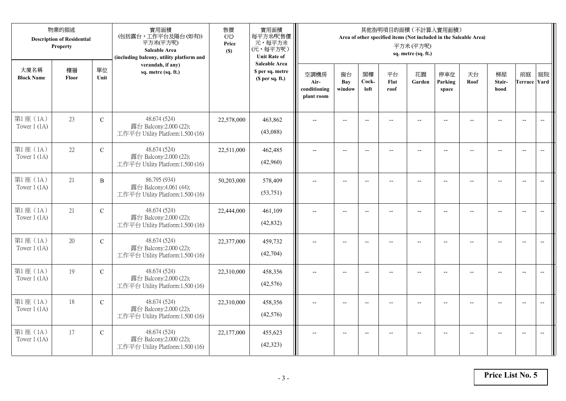|                            | 物業的描述<br><b>Description of Residential</b><br>Property |               | 實用面積<br>(包括露台,工作平台及陽台(如有))<br>平方米(平方呎)<br>Saleable Area<br>(including balcony, utility platform and | 售價<br>(元)<br>Price<br>(S) | 實用面積<br>每平方米/呎售價<br>元,每平方米<br>(元,每平方呎)<br><b>Unit Rate of</b>          |                                            |                            |                          |                          | 其他指明項目的面積 (不計算入實用面積)<br>Area of other specified items (Not included in the Saleable Area)<br>平方米(平方呎)<br>sq. metre (sq. ft.) |                          |                |                          |                           |                          |
|----------------------------|--------------------------------------------------------|---------------|-----------------------------------------------------------------------------------------------------|---------------------------|------------------------------------------------------------------------|--------------------------------------------|----------------------------|--------------------------|--------------------------|------------------------------------------------------------------------------------------------------------------------------|--------------------------|----------------|--------------------------|---------------------------|--------------------------|
| 大廈名稱<br><b>Block Name</b>  | 樓層<br>Floor                                            | 單位<br>Unit    | verandah, if any)<br>sq. metre (sq. ft.)                                                            |                           | <b>Saleable Area</b><br>\$ per sq. metre<br>(S <sub>per</sub> sq. ft.) | 空調機房<br>Air-<br>conditioning<br>plant room | 窗台<br><b>Bay</b><br>window | 閣樓<br>Cock-<br>loft      | 平台<br>Flat<br>roof       | 花園<br>Garden                                                                                                                 | 停車位<br>Parking<br>space  | 天台<br>Roof     | 梯屋<br>Stair-<br>hood     | 前庭<br><b>Terrace Yard</b> | 庭院                       |
| 第1座(1A)<br>Tower $1$ (1A)  | 23                                                     | ${\bf C}$     | 48.674 (524)<br>露台 Balcony:2.000 (22);<br>工作平台 Utility Platform:1.500 (16)                          | 22,578,000                | 463,862<br>(43,088)                                                    |                                            |                            | $\overline{\phantom{a}}$ |                          |                                                                                                                              |                          |                |                          | $\overline{a}$            | $\overline{\phantom{a}}$ |
| 第1座(1A)<br>Tower $1$ (1A)  | 22                                                     | $\mathcal{C}$ | 48.674 (524)<br>露台 Balcony:2.000 (22);<br>工作平台 Utility Platform:1.500 (16)                          | 22,511,000                | 462,485<br>(42,960)                                                    | $\overline{\phantom{a}}$                   | $\overline{\phantom{a}}$   | $\overline{\phantom{a}}$ |                          | $\overline{\phantom{a}}$                                                                                                     | $-$                      |                | $\overline{a}$           | $-$                       |                          |
| 第1座 (1A)<br>Tower $1$ (1A) | 21                                                     | $\, {\bf B}$  | 86.795 (934)<br>露台 Balcony:4.061 (44);<br>工作平台 Utility Platform:1.500 (16)                          | 50,203,000                | 578,409<br>(53,751)                                                    |                                            | $\overline{\phantom{a}}$   | $-$                      | $-$                      | $-$                                                                                                                          |                          |                | $\overline{\phantom{a}}$ | $\overline{\phantom{a}}$  |                          |
| 第1座(1A)<br>Tower $1(1A)$   | 21                                                     | $\mathbf C$   | 48.674 (524)<br>露台 Balcony:2.000 (22);<br>工作平台 Utility Platform:1.500 (16)                          | 22,444,000                | 461,109<br>(42, 832)                                                   | $-$                                        | $-$                        | $\overline{\phantom{a}}$ | $\overline{\phantom{a}}$ | $-$                                                                                                                          | $\overline{\phantom{a}}$ | $\overline{a}$ | --                       | $\overline{\phantom{a}}$  | $\overline{\phantom{m}}$ |
| 第1座(1A)<br>Tower $1(1A)$   | 20                                                     | ${\bf C}$     | 48.674 (524)<br>露台 Balcony:2.000 (22);<br>工作平台 Utility Platform:1.500 (16)                          | 22,377,000                | 459,732<br>(42,704)                                                    | $\sim$                                     | $\overline{a}$             | $\overline{a}$           | $\overline{a}$           | $-$                                                                                                                          | $\overline{a}$           |                | $\overline{a}$           | $\overline{\phantom{a}}$  | $\overline{\phantom{a}}$ |
| 第1座(1A)<br>Tower $1$ (1A)  | 19                                                     | $\mathcal{C}$ | 48.674 (524)<br>露台 Balcony:2.000 (22);<br>工作平台 Utility Platform:1.500 (16)                          | 22,310,000                | 458,356<br>(42,576)                                                    | $\overline{\phantom{a}}$                   | $\overline{a}$             | $-$                      |                          | $-$                                                                                                                          | $-$                      | $-$            | $\overline{a}$           | $\overline{\phantom{a}}$  | $\overline{a}$           |
| 第1座(1A)<br>Tower $1(1A)$   | 18                                                     | $\mathcal{C}$ | 48.674 (524)<br>露台 Balcony:2.000 (22);<br>工作平台 Utility Platform:1.500 (16)                          | 22,310,000                | 458,356<br>(42, 576)                                                   |                                            |                            |                          |                          |                                                                                                                              |                          |                |                          | $\overline{\phantom{a}}$  | $\overline{\phantom{a}}$ |
| 第1座 (1A)<br>Tower $1$ (1A) | 17                                                     | $\mathbf C$   | 48.674 (524)<br>露台 Balcony:2.000 (22);<br>工作平台 Utility Platform:1.500 (16)                          | 22,177,000                | 455,623<br>(42, 323)                                                   | $\overline{\phantom{a}}$                   | $-$                        | $\overline{\phantom{a}}$ |                          | $\overline{a}$                                                                                                               | $-$                      |                | $-$                      | $-$                       | $\overline{\phantom{a}}$ |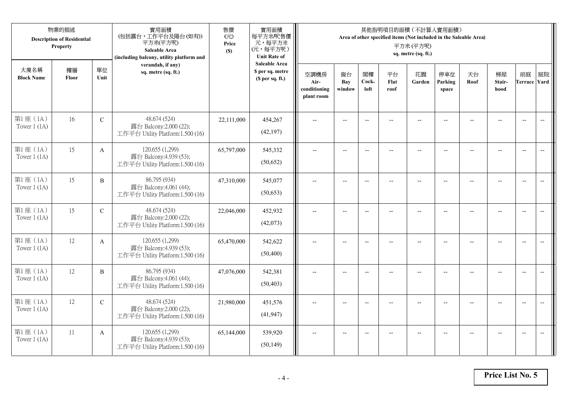|                            | 物業的描述<br><b>Description of Residential</b><br>Property |              | 實用面積<br>(包括露台,工作平台及陽台(如有))<br>平方米(平方呎)<br>Saleable Area<br>(including balcony, utility platform and | 售價<br>(元)<br>Price<br>(S) | 實用面積<br>每平方米/呎售價<br>元,每平方米<br>(元,每平方呎)<br><b>Unit Rate of</b>          |                                            |                          |                          |                          | 其他指明項目的面積 (不計算入實用面積)<br>Area of other specified items (Not included in the Saleable Area)<br>平方米(平方呎)<br>sq. metre (sq. ft.) |                          |                |                                                     |                           |                          |
|----------------------------|--------------------------------------------------------|--------------|-----------------------------------------------------------------------------------------------------|---------------------------|------------------------------------------------------------------------|--------------------------------------------|--------------------------|--------------------------|--------------------------|------------------------------------------------------------------------------------------------------------------------------|--------------------------|----------------|-----------------------------------------------------|---------------------------|--------------------------|
| 大廈名稱<br><b>Block Name</b>  | 樓層<br>Floor                                            | 單位<br>Unit   | verandah, if any)<br>sq. metre (sq. ft.)                                                            |                           | <b>Saleable Area</b><br>\$ per sq. metre<br>(S <sub>per</sub> sq. ft.) | 空調機房<br>Air-<br>conditioning<br>plant room | 窗台<br>Bay<br>window      | 閣樓<br>Cock-<br>loft      | 平台<br>Flat<br>roof       | 花園<br>Garden                                                                                                                 | 停車位<br>Parking<br>space  | 天台<br>Roof     | 梯屋<br>Stair-<br>hood                                | 前庭<br><b>Terrace Yard</b> | 庭院                       |
| 第1座(1A)<br>Tower $1$ (1A)  | 16                                                     | ${\bf C}$    | 48.674 (524)<br>露台 Balcony:2.000 (22);<br>工作平台 Utility Platform:1.500 (16)                          | 22,111,000                | 454,267<br>(42, 197)                                                   |                                            |                          | $\overline{\phantom{a}}$ |                          |                                                                                                                              |                          |                |                                                     | $\overline{a}$            | $\overline{\phantom{a}}$ |
| 第1座(1A)<br>Tower $1$ (1A)  | 15                                                     | $\mathbf{A}$ | 120.655 (1,299)<br>露台 Balcony:4.939 (53);<br>工作平台 Utility Platform:1.500 (16)                       | 65,797,000                | 545,332<br>(50,652)                                                    | $\overline{\phantom{a}}$                   | $\overline{\phantom{a}}$ | $\overline{\phantom{a}}$ | $\overline{a}$           | $\overline{\phantom{a}}$                                                                                                     | $-$                      |                | $\overline{a}$                                      | $-$                       |                          |
| 第1座 (1A)<br>Tower $1$ (1A) | 15                                                     | $\, {\bf B}$ | 86.795 (934)<br>露台 Balcony:4.061 (44);<br>工作平台 Utility Platform:1.500 (16)                          | 47,310,000                | 545,077<br>(50,653)                                                    |                                            | $\overline{\phantom{a}}$ | $-$                      | $-$                      | $-$                                                                                                                          |                          |                | $\overline{\phantom{a}}$                            | $\overline{\phantom{a}}$  |                          |
| 第1座(1A)<br>Tower $1(1A)$   | 15                                                     | $\mathbf C$  | 48.674 (524)<br>露台 Balcony:2.000 (22);<br>工作平台 Utility Platform:1.500 (16)                          | 22,046,000                | 452,932<br>(42,073)                                                    | $-$                                        | $\overline{\phantom{m}}$ | $\overline{\phantom{a}}$ | $\overline{\phantom{a}}$ | $-$                                                                                                                          | $\overline{\phantom{a}}$ | $\overline{a}$ | $\hspace{0.05cm} -\hspace{0.05cm} -\hspace{0.05cm}$ | $\overline{\phantom{a}}$  | $\overline{\phantom{m}}$ |
| 第1座(1A)<br>Tower $1(1A)$   | 12                                                     | $\mathbf{A}$ | 120.655 (1,299)<br>露台 Balcony:4.939 (53);<br>工作平台 Utility Platform:1.500 (16)                       | 65,470,000                | 542,622<br>(50, 400)                                                   | $\sim$                                     | $\overline{a}$           | $\overline{a}$           | $\overline{a}$           | $\overline{\phantom{a}}$                                                                                                     | $\overline{a}$           |                | $\overline{a}$                                      | $\overline{\phantom{a}}$  | $\overline{\phantom{a}}$ |
| 第1座(1A)<br>Tower $1$ (1A)  | 12                                                     | $\, {\bf B}$ | 86.795 (934)<br>露台 Balcony:4.061 (44);<br>工作平台 Utility Platform:1.500 (16)                          | 47,076,000                | 542,381<br>(50, 403)                                                   | $\overline{\phantom{a}}$                   | $\overline{a}$           | $\overline{\phantom{a}}$ |                          | $-$                                                                                                                          | $-$                      | $-$            | $\overline{a}$                                      | $\overline{\phantom{a}}$  | $\sim$                   |
| 第1座(1A)<br>Tower $1(1A)$   | 12                                                     | $\mathbf C$  | 48.674 (524)<br>露台 Balcony:2.000 (22);<br>工作平台 Utility Platform:1.500 (16)                          | 21,980,000                | 451,576<br>(41, 947)                                                   |                                            |                          |                          |                          |                                                                                                                              |                          |                |                                                     | $\overline{\phantom{a}}$  | $\overline{\phantom{a}}$ |
| 第1座 (1A)<br>Tower $1$ (1A) | 11                                                     | A            | 120.655 (1,299)<br>露台 Balcony:4.939 (53);<br>工作平台 Utility Platform:1.500 (16)                       | 65,144,000                | 539,920<br>(50, 149)                                                   | $\overline{\phantom{a}}$                   | $-$                      | $\overline{\phantom{a}}$ |                          | $\overline{a}$                                                                                                               |                          |                | $-$                                                 | $-$                       | $\overline{\phantom{a}}$ |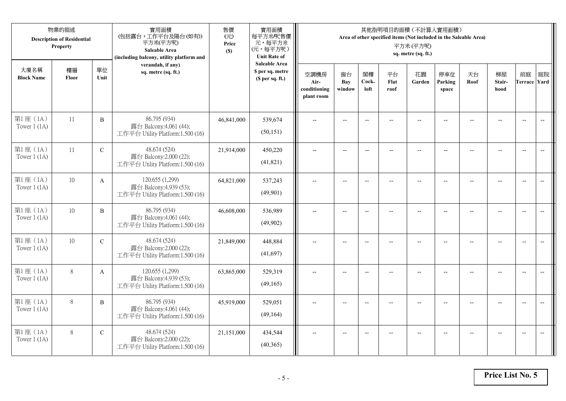|                            | 物業的描述<br><b>Description of Residential</b><br>Property |              | 實用面積<br>(包括露台,工作平台及陽台(如有))<br>平方米(平方呎)<br>Saleable Area<br>(including balcony, utility platform and | 售價<br>(元)<br>Price<br>(S) | 實用面積<br>每平方米/呎售價<br>元,每平方米<br>(元,每平方呎)<br><b>Unit Rate of</b>          |                                            |                          |                          |                          | 其他指明項目的面積 (不計算入實用面積)<br>Area of other specified items (Not included in the Saleable Area)<br>平方米(平方呎)<br>sq. metre (sq. ft.) |                          |                |                          |                           |                          |
|----------------------------|--------------------------------------------------------|--------------|-----------------------------------------------------------------------------------------------------|---------------------------|------------------------------------------------------------------------|--------------------------------------------|--------------------------|--------------------------|--------------------------|------------------------------------------------------------------------------------------------------------------------------|--------------------------|----------------|--------------------------|---------------------------|--------------------------|
| 大廈名稱<br><b>Block Name</b>  | 樓層<br>Floor                                            | 單位<br>Unit   | verandah, if any)<br>sq. metre (sq. ft.)                                                            |                           | <b>Saleable Area</b><br>\$ per sq. metre<br>(S <sub>per</sub> sq. ft.) | 空調機房<br>Air-<br>conditioning<br>plant room | 窗台<br>Bay<br>window      | 閣樓<br>Cock-<br>loft      | 平台<br>Flat<br>roof       | 花園<br>Garden                                                                                                                 | 停車位<br>Parking<br>space  | 天台<br>Roof     | 梯屋<br>Stair-<br>hood     | 前庭<br><b>Terrace Yard</b> | 庭院                       |
| 第1座(1A)<br>Tower $1$ (1A)  | 11                                                     | $\, {\bf B}$ | 86.795 (934)<br>露台 Balcony:4.061 (44);<br>工作平台 Utility Platform:1.500 (16)                          | 46,841,000                | 539,674<br>(50, 151)                                                   |                                            |                          | $\overline{\phantom{a}}$ |                          |                                                                                                                              |                          |                |                          | $\overline{a}$            | $\overline{\phantom{a}}$ |
| 第1座(1A)<br>Tower $1$ (1A)  | 11                                                     | $\mathbf C$  | 48.674 (524)<br>露台 Balcony:2.000 (22);<br>工作平台 Utility Platform:1.500 (16)                          | 21,914,000                | 450,220<br>(41, 821)                                                   | $\overline{\phantom{a}}$                   | $\overline{\phantom{a}}$ | $\overline{\phantom{a}}$ |                          | $\overline{\phantom{a}}$                                                                                                     | $-$                      |                | $\overline{a}$           | $-$                       |                          |
| 第1座 (1A)<br>Tower $1$ (1A) | $10\,$                                                 | A            | 120.655 (1,299)<br>露台 Balcony:4.939 (53);<br>工作平台 Utility Platform:1.500 (16)                       | 64,821,000                | 537,243<br>(49,901)                                                    |                                            | $\overline{\phantom{a}}$ | $-$                      | $-$                      | $-$                                                                                                                          |                          |                | $\overline{\phantom{a}}$ | $\overline{\phantom{a}}$  |                          |
| 第1座(1A)<br>Tower $1(1A)$   | $10\,$                                                 | B            | 86.795 (934)<br>露台 Balcony:4.061 (44);<br>工作平台 Utility Platform:1.500 (16)                          | 46,608,000                | 536,989<br>(49,902)                                                    | $-$                                        | $\overline{\phantom{m}}$ | $\overline{\phantom{a}}$ | $\overline{\phantom{a}}$ | $-$                                                                                                                          | $\overline{\phantom{a}}$ | $\overline{a}$ | --                       | $-$                       | $\overline{\phantom{m}}$ |
| 第1座(1A)<br>Tower $1(1A)$   | 10                                                     | ${\bf C}$    | 48.674 (524)<br>露台 Balcony:2.000 (22);<br>工作平台 Utility Platform:1.500 (16)                          | 21,849,000                | 448,884<br>(41,697)                                                    | $\sim$                                     | $\overline{a}$           | $\overline{a}$           | $\overline{a}$           | $\overline{\phantom{a}}$                                                                                                     | $\overline{a}$           |                | $\overline{a}$           | $\overline{\phantom{a}}$  | $\overline{\phantom{a}}$ |
| 第1座(1A)<br>Tower $1$ (1A)  | $8\,$                                                  | A            | 120.655 (1,299)<br>露台 Balcony:4.939 (53);<br>工作平台 Utility Platform:1.500 (16)                       | 63,865,000                | 529,319<br>(49,165)                                                    | $\overline{\phantom{a}}$                   | $\overline{a}$           | $\overline{\phantom{a}}$ |                          | $-$                                                                                                                          | $-$                      | $-$            | $\overline{a}$           | $\overline{\phantom{a}}$  | $\overline{a}$           |
| 第1座(1A)<br>Tower $1(1A)$   | $8\,$                                                  | B            | 86.795 (934)<br>露台 Balcony:4.061 (44);<br>工作平台 Utility Platform:1.500 (16)                          | 45,919,000                | 529,051<br>(49,164)                                                    |                                            |                          |                          |                          |                                                                                                                              |                          |                |                          | $\overline{\phantom{a}}$  | $\overline{\phantom{a}}$ |
| 第1座 (1A)<br>Tower $1$ (1A) | 8                                                      | $\mathbf C$  | 48.674 (524)<br>露台 Balcony:2.000 (22);<br>工作平台 Utility Platform:1.500 (16)                          | 21,151,000                | 434,544<br>(40, 365)                                                   | $\overline{\phantom{a}}$                   | $-$                      | $\overline{\phantom{a}}$ |                          | $\overline{a}$                                                                                                               |                          |                | $-$                      | $-$                       | $\overline{\phantom{a}}$ |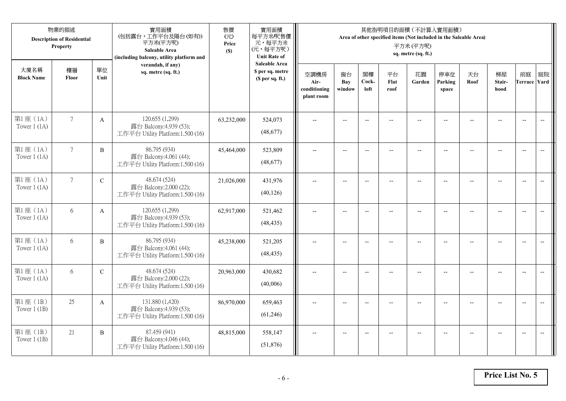|                            | 物業的描述<br><b>Description of Residential</b><br>Property |                | 實用面積<br>(包括露台,工作平台及陽台(如有))<br>平方米(平方呎)<br>Saleable Area<br>(including balcony, utility platform and | 售價<br>(元)<br>Price<br>(S) | 實用面積<br>每平方米/呎售價<br>元,每平方米<br>(元,每平方呎)<br><b>Unit Rate of</b> |                                            |                          |                          |                    | 其他指明項目的面積(不計算入實用面積)<br>Area of other specified items (Not included in the Saleable Area)<br>平方米(平方呎)<br>sq. metre (sq. ft.) |                         |                          |                      |                           |                          |
|----------------------------|--------------------------------------------------------|----------------|-----------------------------------------------------------------------------------------------------|---------------------------|---------------------------------------------------------------|--------------------------------------------|--------------------------|--------------------------|--------------------|-----------------------------------------------------------------------------------------------------------------------------|-------------------------|--------------------------|----------------------|---------------------------|--------------------------|
| 大廈名稱<br><b>Block Name</b>  | 樓層<br>Floor                                            | 單位<br>Unit     | verandah, if any)<br>sq. metre (sq. ft.)                                                            |                           | <b>Saleable Area</b><br>\$ per sq. metre<br>(\$ per sq. ft.)  | 空調機房<br>Air-<br>conditioning<br>plant room | 窗台<br>Bay<br>window      | 閣樓<br>Cock-<br>loft      | 平台<br>Flat<br>roof | 花園<br>Garden                                                                                                                | 停車位<br>Parking<br>space | 天台<br>Roof               | 梯屋<br>Stair-<br>hood | 前庭<br><b>Terrace Yard</b> | 庭院                       |
| 第1座 (1A)<br>Tower $1$ (1A) | $7\overline{ }$                                        | $\mathbf{A}$   | 120.655 (1,299)<br>露台 Balcony:4.939 (53);<br>工作平台 Utility Platform:1.500 (16)                       | 63,232,000                | 524,073<br>(48,677)                                           |                                            |                          | $\overline{\phantom{a}}$ |                    |                                                                                                                             |                         |                          |                      | $\overline{\phantom{a}}$  | $\overline{\phantom{a}}$ |
| 第1座(1A)<br>Tower $1$ (1A)  | $7\phantom{.0}$                                        | B              | 86.795 (934)<br>露台 Balcony:4.061 (44);<br>工作平台 Utility Platform:1.500 (16)                          | 45,464,000                | 523,809<br>(48,677)                                           | $\overline{\phantom{a}}$                   | $\overline{\phantom{a}}$ | $\overline{\phantom{a}}$ | $-$                | $\overline{\phantom{a}}$                                                                                                    | $-$                     | $\overline{\phantom{a}}$ | $-$                  | $\overline{\phantom{a}}$  | $-$                      |
| 第1座(1A)<br>Tower $1$ (1A)  | $7\phantom{.0}$                                        | $\mathcal{C}$  | 48.674 (524)<br>露台 Balcony:2.000 (22);<br>工作平台 Utility Platform:1.500 (16)                          | 21,026,000                | 431,976<br>(40, 126)                                          |                                            |                          | $\overline{a}$           | $-$                | $\overline{\phantom{a}}$                                                                                                    |                         |                          |                      | $\overline{\phantom{a}}$  |                          |
| 第1座(1A)<br>Tower $1$ (1A)  | 6                                                      | A              | 120.655 (1,299)<br>露台 Balcony:4.939 (53);<br>工作平台 Utility Platform:1.500 (16)                       | 62,917,000                | 521,462<br>(48, 435)                                          | $\overline{\phantom{a}}$                   | $\sim$                   | $\overline{\phantom{m}}$ | $\overline{a}$     | $\overline{\phantom{a}}$                                                                                                    | $\overline{a}$          |                          | $\overline{a}$       | $\overline{\phantom{a}}$  | $\overline{\phantom{a}}$ |
| 第1座(1A)<br>Tower $1$ (1A)  | 6                                                      | B              | 86.795 (934)<br>露台 Balcony:4.061 (44);<br>工作平台 Utility Platform:1.500 (16)                          | 45,238,000                | 521,205<br>(48, 435)                                          | $\overline{a}$                             | $- -$                    | $\overline{\phantom{m}}$ | $-$                | $\overline{\phantom{m}}$                                                                                                    | $-$                     | --                       | $-$                  | $\overline{\phantom{m}}$  | $\overline{\phantom{m}}$ |
| 第1座(1A)<br>Tower $1$ (1A)  | 6                                                      | $\mathcal{C}$  | 48.674 (524)<br>露台 Balcony:2.000 (22);<br>工作平台 Utility Platform:1.500 (16)                          | 20,963,000                | 430,682<br>(40,006)                                           | $\overline{a}$                             |                          | $\overline{\phantom{a}}$ |                    | $\overline{a}$                                                                                                              |                         |                          | $-$                  | $\overline{\phantom{a}}$  |                          |
| 第1座 (1B)<br>Tower $1$ (1B) | 25                                                     | A              | 131.880 (1,420)<br>露台 Balcony:4.939 (53);<br>工作平台 Utility Platform:1.500 (16)                       | 86,970,000                | 659,463<br>(61,246)                                           | $\sim$                                     |                          | $\overline{\phantom{a}}$ |                    | $\sim$                                                                                                                      |                         |                          | $\overline{a}$       | $\overline{\phantom{a}}$  | $\overline{\phantom{a}}$ |
| 第1座 (1B)<br>Tower $1$ (1B) | 21                                                     | $\overline{B}$ | 87.459 (941)<br>露台 Balcony:4.046 (44);<br>工作平台 Utility Platform:1.500 (16)                          | 48,815,000                | 558,147<br>(51, 876)                                          |                                            |                          | $\overline{\phantom{a}}$ |                    |                                                                                                                             |                         |                          |                      | $\overline{\phantom{a}}$  | $-$                      |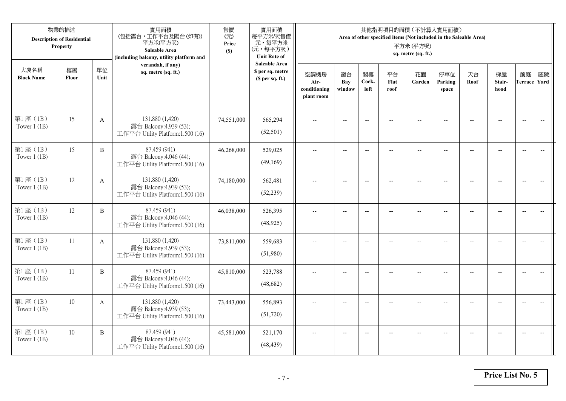|                            | 物業的描述<br><b>Description of Residential</b><br>Property |              | 實用面積<br>(包括露台,工作平台及陽台(如有))<br>平方米(平方呎)<br>Saleable Area<br>(including balcony, utility platform and | 售價<br>(元)<br>Price<br>(S) | 實用面積<br>每平方米/呎售價<br>元,每平方米<br>(元,每平方呎)<br><b>Unit Rate of</b>          |                                            |                          |                          |                          | 其他指明項目的面積 (不計算入實用面積)<br>Area of other specified items (Not included in the Saleable Area)<br>平方米(平方呎)<br>sq. metre (sq. ft.) |                          |                |                                                     |                           |                          |
|----------------------------|--------------------------------------------------------|--------------|-----------------------------------------------------------------------------------------------------|---------------------------|------------------------------------------------------------------------|--------------------------------------------|--------------------------|--------------------------|--------------------------|------------------------------------------------------------------------------------------------------------------------------|--------------------------|----------------|-----------------------------------------------------|---------------------------|--------------------------|
| 大廈名稱<br><b>Block Name</b>  | 樓層<br>Floor                                            | 單位<br>Unit   | verandah, if any)<br>sq. metre (sq. ft.)                                                            |                           | <b>Saleable Area</b><br>\$ per sq. metre<br>(S <sub>per</sub> sq. ft.) | 空調機房<br>Air-<br>conditioning<br>plant room | 窗台<br>Bay<br>window      | 閣樓<br>Cock-<br>loft      | 平台<br>Flat<br>roof       | 花園<br>Garden                                                                                                                 | 停車位<br>Parking<br>space  | 天台<br>Roof     | 梯屋<br>Stair-<br>hood                                | 前庭<br><b>Terrace Yard</b> | 庭院                       |
| 第1座(1B)<br>Tower $1$ (1B)  | 15                                                     | $\mathbf{A}$ | 131.880 (1,420)<br>露台 Balcony:4.939 (53);<br>工作平台 Utility Platform:1.500 (16)                       | 74,551,000                | 565,294<br>(52, 501)                                                   |                                            | $\overline{a}$           | $\overline{\phantom{a}}$ |                          |                                                                                                                              |                          |                |                                                     | $\overline{a}$            | $\overline{\phantom{a}}$ |
| 第1座(1B)<br>Tower $1$ (1B)  | 15                                                     | B            | 87.459 (941)<br>露台 Balcony:4.046 (44);<br>工作平台 Utility Platform:1.500 (16)                          | 46,268,000                | 529,025<br>(49,169)                                                    | $\overline{\phantom{a}}$                   | $\overline{\phantom{a}}$ | $\overline{\phantom{a}}$ | $\overline{a}$           | $\overline{\phantom{a}}$                                                                                                     | $-$                      | $-$            | $\overline{a}$                                      | $-$                       | $\overline{\phantom{m}}$ |
| 第1座(1B)<br>Tower $1$ (1B)  | 12                                                     | A            | 131.880 (1,420)<br>露台 Balcony:4.939 (53);<br>工作平台 Utility Platform:1.500 (16)                       | 74,180,000                | 562,481<br>(52, 239)                                                   |                                            | $\overline{\phantom{a}}$ | $\overline{\phantom{a}}$ | $-$                      | $-$                                                                                                                          | --                       |                | $\overline{\phantom{a}}$                            | $\overline{\phantom{a}}$  |                          |
| 第1座(1B)<br>Tower $1$ (1B)  | 12                                                     | $\, {\bf B}$ | 87.459 (941)<br>露台 Balcony:4.046 (44);<br>工作平台 Utility Platform:1.500 (16)                          | 46,038,000                | 526,395<br>(48, 925)                                                   | $-$                                        | $\overline{\phantom{m}}$ | $\overline{\phantom{a}}$ | $\overline{\phantom{a}}$ | $-$                                                                                                                          | $\overline{\phantom{a}}$ | $\overline{a}$ | $\hspace{0.05cm} -\hspace{0.05cm} -\hspace{0.05cm}$ | $-$                       | $\overline{\phantom{m}}$ |
| 第1座 (1B)<br>Tower $1$ (1B) | 11                                                     | $\mathbf{A}$ | 131.880 (1,420)<br>露台 Balcony:4.939 (53);<br>工作平台 Utility Platform:1.500 (16)                       | 73,811,000                | 559,683<br>(51,980)                                                    | $\sim$                                     | $\overline{a}$           | $\overline{a}$           | $\overline{a}$           | $-$                                                                                                                          | $\overline{a}$           |                | $\overline{a}$                                      | $\overline{\phantom{a}}$  | $\overline{\phantom{a}}$ |
| 第1座(1B)<br>Tower $1$ (1B)  | 11                                                     | $\, {\bf B}$ | 87.459 (941)<br>露台 Balcony:4.046 (44);<br>工作平台 Utility Platform:1.500 (16)                          | 45,810,000                | 523,788<br>(48,682)                                                    | $\overline{\phantom{a}}$                   | $\overline{a}$           | $-$                      |                          | $\overline{a}$                                                                                                               | $\sim$                   | $-$            | $\overline{a}$                                      | $\overline{\phantom{a}}$  | $\sim$                   |
| 第1座 (1B)<br>Tower $1(1B)$  | 10                                                     | $\mathbf{A}$ | 131.880 (1,420)<br>露台 Balcony:4.939 (53);<br>工作平台 Utility Platform:1.500 (16)                       | 73,443,000                | 556,893<br>(51, 720)                                                   |                                            |                          | $\overline{\phantom{a}}$ |                          |                                                                                                                              |                          |                |                                                     | $\overline{\phantom{a}}$  | $-$                      |
| 第1座 (1B)<br>Tower $1$ (1B) | $10\,$                                                 | B            | 87.459 (941)<br>露台 Balcony:4.046 (44);<br>工作平台 Utility Platform:1.500 (16)                          | 45,581,000                | 521,170<br>(48, 439)                                                   | $\overline{\phantom{a}}$                   | $-$                      | $-$                      |                          | $\overline{a}$                                                                                                               | $-$                      |                | $-$                                                 | $-$                       | $\overline{\phantom{a}}$ |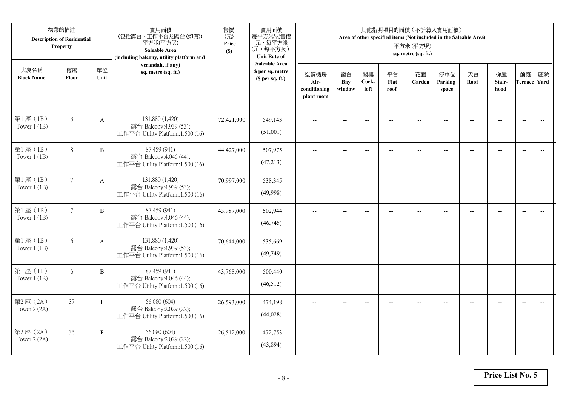|                            | 物業的描述<br><b>Description of Residential</b><br>Property |              | 實用面積<br>(包括露台,工作平台及陽台(如有))<br>平方米(平方呎)<br>Saleable Area<br>(including balcony, utility platform and | 售價<br>(元)<br>Price<br>(S) | 實用面積<br>每平方米/呎售價<br>元,每平方米<br>(元,每平方呎)<br><b>Unit Rate of</b>          |                                            |                          |                          |                          | 其他指明項目的面積 (不計算入實用面積)<br>Area of other specified items (Not included in the Saleable Area)<br>平方米(平方呎)<br>sq. metre (sq. ft.) |                          |                |                          |                           |                          |
|----------------------------|--------------------------------------------------------|--------------|-----------------------------------------------------------------------------------------------------|---------------------------|------------------------------------------------------------------------|--------------------------------------------|--------------------------|--------------------------|--------------------------|------------------------------------------------------------------------------------------------------------------------------|--------------------------|----------------|--------------------------|---------------------------|--------------------------|
| 大廈名稱<br><b>Block Name</b>  | 樓層<br>Floor                                            | 單位<br>Unit   | verandah, if any)<br>sq. metre (sq. ft.)                                                            |                           | <b>Saleable Area</b><br>\$ per sq. metre<br>(S <sub>per</sub> sq. ft.) | 空調機房<br>Air-<br>conditioning<br>plant room | 窗台<br>Bay<br>window      | 閣樓<br>Cock-<br>loft      | 平台<br>Flat<br>roof       | 花園<br>Garden                                                                                                                 | 停車位<br>Parking<br>space  | 天台<br>Roof     | 梯屋<br>Stair-<br>hood     | 前庭<br><b>Terrace Yard</b> | 庭院                       |
| 第1座(1B)<br>Tower $1$ (1B)  | $8\,$                                                  | $\mathbf{A}$ | 131.880 (1,420)<br>露台 Balcony:4.939 (53);<br>工作平台 Utility Platform:1.500 (16)                       | 72,421,000                | 549,143<br>(51,001)                                                    |                                            |                          | $\overline{\phantom{a}}$ |                          |                                                                                                                              |                          |                |                          | $\overline{a}$            | $\overline{\phantom{a}}$ |
| 第1座(1B)<br>Tower $1$ (1B)  | $8\,$                                                  | B            | 87.459 (941)<br>露台 Balcony:4.046 (44);<br>工作平台 Utility Platform:1.500 (16)                          | 44,427,000                | 507,975<br>(47,213)                                                    | $\overline{\phantom{a}}$                   | $\overline{\phantom{a}}$ | $\overline{\phantom{a}}$ |                          | $\overline{\phantom{a}}$                                                                                                     | $-$                      |                | $\overline{a}$           | $-$                       |                          |
| 第1座(1B)<br>Tower $1$ (1B)  | $7\overline{ }$                                        | A            | 131.880 (1,420)<br>露台 Balcony:4.939 (53);<br>工作平台 Utility Platform:1.500 (16)                       | 70,997,000                | 538,345<br>(49,998)                                                    |                                            | $\overline{\phantom{a}}$ | $\overline{\phantom{a}}$ | $-$                      | $-$                                                                                                                          |                          |                | $\overline{\phantom{a}}$ | $\overline{\phantom{a}}$  |                          |
| 第1座(1B)<br>Tower $1$ (1B)  | $7\overline{ }$                                        | B            | 87.459 (941)<br>露台 Balcony:4.046 (44);<br>工作平台 Utility Platform:1.500 (16)                          | 43,987,000                | 502,944<br>(46, 745)                                                   | $-$                                        | $\overline{\phantom{m}}$ | $\overline{\phantom{a}}$ | $\overline{\phantom{a}}$ | $-$                                                                                                                          | $\overline{\phantom{a}}$ | $\overline{a}$ | --                       | $-$                       | $\overline{\phantom{m}}$ |
| 第1座 (1B)<br>Tower $1$ (1B) | 6                                                      | $\mathbf{A}$ | 131.880 (1,420)<br>露台 Balcony:4.939 (53);<br>工作平台 Utility Platform:1.500 (16)                       | 70,644,000                | 535,669<br>(49, 749)                                                   | $\sim$                                     | $\overline{a}$           | $\overline{a}$           | $\overline{a}$           | $\overline{\phantom{a}}$                                                                                                     | $\overline{a}$           |                | $\overline{a}$           | $\overline{\phantom{a}}$  | $\overline{\phantom{a}}$ |
| 第1座 (1B)<br>Tower $1$ (1B) | 6                                                      | $\, {\bf B}$ | 87.459 (941)<br>露台 Balcony:4.046 (44);<br>工作平台 Utility Platform:1.500 (16)                          | 43,768,000                | 500,440<br>(46,512)                                                    | $\overline{\phantom{a}}$                   | $\overline{a}$           | $\overline{\phantom{a}}$ |                          | $-$                                                                                                                          | $-$                      | $-$            | $\overline{a}$           | $\overline{\phantom{a}}$  | $\sim$                   |
| 第2座(2A)<br>Tower 2 (2A)    | 37                                                     | $\mathbf F$  | 56.080 (604)<br>露台 Balcony:2.029 (22);<br>工作平台 Utility Platform:1.500 (16)                          | 26,593,000                | 474,198<br>(44,028)                                                    |                                            |                          | $\overline{\phantom{a}}$ |                          |                                                                                                                              |                          |                |                          | $\overline{\phantom{a}}$  | $\overline{\phantom{a}}$ |
| 第2座(2A)<br>Tower 2 (2A)    | 36                                                     | $\mathbf{F}$ | 56.080 (604)<br>露台 Balcony:2.029 (22);<br>工作平台 Utility Platform:1.500 (16)                          | 26,512,000                | 472,753<br>(43,894)                                                    | $\overline{\phantom{a}}$                   | $-$                      | $\overline{\phantom{a}}$ |                          | $\overline{a}$                                                                                                               | $-$                      |                | $-$                      | $-$                       | $\overline{\phantom{a}}$ |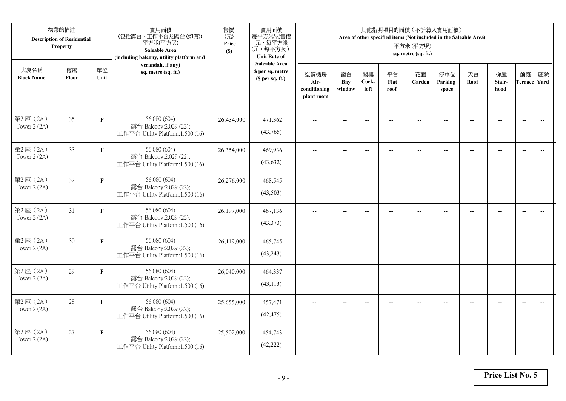|                           | 物業的描述<br><b>Description of Residential</b><br>Property |              | 實用面積<br>(包括露台,工作平台及陽台(如有))<br>平方米(平方呎)<br>Saleable Area<br>(including balcony, utility platform and | 售價<br>(元)<br>Price<br>(S) | 實用面積<br>每平方米/呎售價<br>元,每平方米<br>(元,每平方呎)<br><b>Unit Rate of</b>          |                                            |                          |                          |                          | 其他指明項目的面積 (不計算入實用面積)<br>Area of other specified items (Not included in the Saleable Area)<br>平方米(平方呎)<br>sq. metre (sq. ft.) |                          |                |                          |                           |                          |
|---------------------------|--------------------------------------------------------|--------------|-----------------------------------------------------------------------------------------------------|---------------------------|------------------------------------------------------------------------|--------------------------------------------|--------------------------|--------------------------|--------------------------|------------------------------------------------------------------------------------------------------------------------------|--------------------------|----------------|--------------------------|---------------------------|--------------------------|
| 大廈名稱<br><b>Block Name</b> | 樓層<br>Floor                                            | 單位<br>Unit   | verandah, if any)<br>sq. metre (sq. ft.)                                                            |                           | <b>Saleable Area</b><br>\$ per sq. metre<br>(S <sub>per</sub> sq. ft.) | 空調機房<br>Air-<br>conditioning<br>plant room | 窗台<br>Bay<br>window      | 閣樓<br>Cock-<br>loft      | 平台<br>Flat<br>roof       | 花園<br>Garden                                                                                                                 | 停車位<br>Parking<br>space  | 天台<br>Roof     | 梯屋<br>Stair-<br>hood     | 前庭<br><b>Terrace Yard</b> | 庭院                       |
| 第2座(2A)<br>Tower 2 (2A)   | 35                                                     | $\mathbf F$  | 56.080 (604)<br>露台 Balcony:2.029 (22);<br>工作平台 Utility Platform:1.500 (16)                          | 26,434,000                | 471,362<br>(43,765)                                                    |                                            |                          | $\overline{\phantom{a}}$ |                          |                                                                                                                              |                          |                |                          | $\overline{a}$            | $\overline{\phantom{a}}$ |
| 第2座(2A)<br>Tower 2 (2A)   | 33                                                     | $\mathbf{F}$ | 56.080 (604)<br>露台 Balcony:2.029 (22);<br>工作平台 Utility Platform:1.500 (16)                          | 26,354,000                | 469,936<br>(43, 632)                                                   | $\overline{\phantom{a}}$                   | $\overline{\phantom{a}}$ | $\overline{\phantom{a}}$ |                          | $\overline{\phantom{a}}$                                                                                                     | $-$                      |                | $\overline{a}$           | $-$                       |                          |
| 第2座(2A)<br>Tower 2 (2A)   | 32                                                     | $\mathbf F$  | 56.080 (604)<br>露台 Balcony:2.029 (22);<br>工作平台 Utility Platform:1.500 (16)                          | 26,276,000                | 468,545<br>(43,503)                                                    |                                            | $\overline{\phantom{a}}$ | $-$                      | $-$                      | $-$                                                                                                                          |                          |                | $\overline{\phantom{a}}$ | $\overline{\phantom{a}}$  |                          |
| 第2座(2A)<br>Tower 2 (2A)   | 31                                                     | $\mathbf F$  | 56.080 (604)<br>露台 Balcony:2.029 (22);<br>工作平台 Utility Platform:1.500 (16)                          | 26,197,000                | 467,136<br>(43,373)                                                    | $-$                                        | $\overline{\phantom{m}}$ | $\overline{\phantom{a}}$ | $\overline{\phantom{a}}$ | $-$                                                                                                                          | $\overline{\phantom{a}}$ | $\overline{a}$ | --                       | $-$                       | $\overline{\phantom{m}}$ |
| 第2座(2A)<br>Tower 2 (2A)   | 30                                                     | F            | 56.080 (604)<br>露台 Balcony: 2.029 (22);<br>工作平台 Utility Platform:1.500 (16)                         | 26,119,000                | 465,745<br>(43,243)                                                    | $\sim$                                     | $\overline{a}$           | $\overline{a}$           | $\overline{a}$           | $\overline{\phantom{a}}$                                                                                                     | $\overline{a}$           |                | $\overline{a}$           | $\overline{\phantom{a}}$  | $\overline{\phantom{a}}$ |
| 第2座(2A)<br>Tower 2 (2A)   | 29                                                     | $\mathbf{F}$ | 56.080 (604)<br>露台 Balcony:2.029 (22);<br>工作平台 Utility Platform:1.500 (16)                          | 26,040,000                | 464,337<br>(43, 113)                                                   | $\overline{\phantom{a}}$                   | $\overline{a}$           | $\overline{\phantom{a}}$ |                          | $-$                                                                                                                          | $-$                      | $-$            | $-$                      | $\overline{\phantom{a}}$  | $\sim$                   |
| 第2座(2A)<br>Tower 2 (2A)   | 28                                                     | $\mathbf F$  | 56.080 (604)<br>露台 Balcony:2.029 (22);<br>工作平台 Utility Platform:1.500 (16)                          | 25,655,000                | 457,471<br>(42, 475)                                                   |                                            |                          | $\overline{\phantom{a}}$ |                          |                                                                                                                              |                          |                |                          | $\overline{\phantom{a}}$  | $\overline{\phantom{a}}$ |
| 第2座(2A)<br>Tower 2 (2A)   | 27                                                     | $\mathbf{F}$ | 56.080 (604)<br>露台 Balcony:2.029 (22);<br>工作平台 Utility Platform:1.500 (16)                          | 25,502,000                | 454,743<br>(42, 222)                                                   | $\overline{\phantom{a}}$                   | $-$                      | $\overline{\phantom{a}}$ |                          | $\overline{a}$                                                                                                               | $-$                      |                | $-$                      | $-$                       | $\overline{\phantom{a}}$ |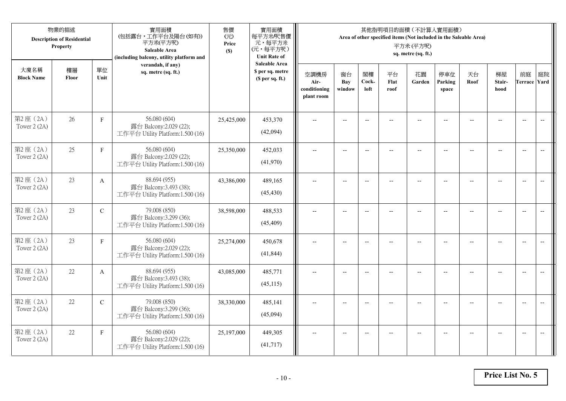|                           | 物業的描述<br><b>Description of Residential</b><br>Property |              | 實用面積<br>(包括露台,工作平台及陽台(如有))<br>平方米(平方呎)<br>Saleable Area<br>(including balcony, utility platform and | 售價<br>(元)<br>Price<br>(S) | 實用面積<br>每平方米/呎售價<br>元,每平方米<br>(元,每平方呎)<br><b>Unit Rate of</b>          |                                            |                          |                          |                          | 其他指明項目的面積 (不計算入實用面積)<br>Area of other specified items (Not included in the Saleable Area)<br>平方米(平方呎)<br>sq. metre (sq. ft.) |                          |                |                          |                           |                          |
|---------------------------|--------------------------------------------------------|--------------|-----------------------------------------------------------------------------------------------------|---------------------------|------------------------------------------------------------------------|--------------------------------------------|--------------------------|--------------------------|--------------------------|------------------------------------------------------------------------------------------------------------------------------|--------------------------|----------------|--------------------------|---------------------------|--------------------------|
| 大廈名稱<br><b>Block Name</b> | 樓層<br>Floor                                            | 單位<br>Unit   | verandah, if any)<br>sq. metre (sq. ft.)                                                            |                           | <b>Saleable Area</b><br>\$ per sq. metre<br>(S <sub>per</sub> sq. ft.) | 空調機房<br>Air-<br>conditioning<br>plant room | 窗台<br>Bay<br>window      | 閣樓<br>Cock-<br>loft      | 平台<br>Flat<br>roof       | 花園<br>Garden                                                                                                                 | 停車位<br>Parking<br>space  | 天台<br>Roof     | 梯屋<br>Stair-<br>hood     | 前庭<br><b>Terrace Yard</b> | 庭院                       |
| 第2座(2A)<br>Tower 2 (2A)   | 26                                                     | $\mathbf F$  | 56.080 (604)<br>露台 Balcony:2.029 (22);<br>工作平台 Utility Platform:1.500 (16)                          | 25,425,000                | 453,370<br>(42,094)                                                    |                                            |                          | $\overline{\phantom{a}}$ |                          |                                                                                                                              |                          |                |                          | $\overline{a}$            | $\overline{\phantom{a}}$ |
| 第2座(2A)<br>Tower 2 (2A)   | 25                                                     | $\mathbf{F}$ | 56.080 (604)<br>露台 Balcony:2.029 (22);<br>工作平台 Utility Platform:1.500 (16)                          | 25,350,000                | 452,033<br>(41,970)                                                    | $\overline{\phantom{a}}$                   | $\overline{\phantom{a}}$ | $\overline{\phantom{a}}$ |                          | $\overline{\phantom{a}}$                                                                                                     | $-$                      |                | $\overline{a}$           | $-$                       | $\overline{\phantom{m}}$ |
| 第2座(2A)<br>Tower 2 (2A)   | 23                                                     | A            | 88.694 (955)<br>露台 Balcony:3.493 (38);<br>工作平台 Utility Platform:1.500 (16)                          | 43,386,000                | 489,165<br>(45, 430)                                                   |                                            | $\overline{\phantom{a}}$ | $-$                      | $-$                      | $-$                                                                                                                          |                          |                | $\overline{\phantom{a}}$ | $\overline{\phantom{a}}$  |                          |
| 第2座(2A)<br>Tower 2 (2A)   | 23                                                     | $\mathbf C$  | 79.008 (850)<br>露台 Balcony:3.299 (36);<br>工作平台 Utility Platform:1.500 (16)                          | 38,598,000                | 488,533<br>(45, 409)                                                   | $-$                                        | $\overline{\phantom{m}}$ | $\overline{\phantom{a}}$ | $\overline{\phantom{a}}$ | $-$                                                                                                                          | $\overline{\phantom{a}}$ | $\overline{a}$ | --                       | $-$                       | $\overline{\phantom{m}}$ |
| 第2座(2A)<br>Tower 2 (2A)   | 23                                                     | $\, {\rm F}$ | 56.080 (604)<br>露台 Balcony: 2.029 (22);<br>工作平台 Utility Platform:1.500 (16)                         | 25,274,000                | 450,678<br>(41, 844)                                                   | $\sim$                                     | $\overline{a}$           | $\overline{a}$           | $\overline{a}$           | $\overline{\phantom{a}}$                                                                                                     | $\overline{a}$           |                | $\overline{a}$           | $\overline{\phantom{a}}$  | $\overline{\phantom{a}}$ |
| 第2座(2A)<br>Tower 2 (2A)   | 22                                                     | A            | 88.694 (955)<br>露台 Balcony:3.493 (38);<br>工作平台 Utility Platform:1.500 (16)                          | 43,085,000                | 485,771<br>(45, 115)                                                   | $\overline{\phantom{a}}$                   | $\overline{a}$           | $\overline{\phantom{a}}$ |                          | $-$                                                                                                                          | $-$                      | $-$            | $\overline{a}$           | $\overline{\phantom{a}}$  | $\sim$                   |
| 第2座(2A)<br>Tower 2 (2A)   | 22                                                     | $\mathbf C$  | 79.008 (850)<br>露台 Balcony:3.299 (36);<br>工作平台 Utility Platform:1.500 (16)                          | 38,330,000                | 485,141<br>(45,094)                                                    |                                            |                          | $\overline{\phantom{a}}$ |                          |                                                                                                                              |                          |                |                          | $\overline{\phantom{a}}$  | $\overline{\phantom{a}}$ |
| 第2座(2A)<br>Tower 2 (2A)   | 22                                                     | $\mathbf{F}$ | 56.080 (604)<br>露台 Balcony:2.029 (22);<br>工作平台 Utility Platform:1.500 (16)                          | 25,197,000                | 449,305<br>(41, 717)                                                   | $\overline{\phantom{a}}$                   | $-$                      | $\overline{\phantom{a}}$ |                          | $\overline{a}$                                                                                                               | $-$                      |                | $-$                      | $-$                       | $\overline{\phantom{a}}$ |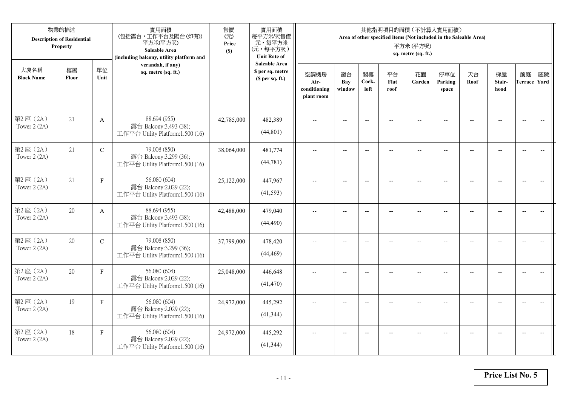|                           | 物業的描述<br><b>Description of Residential</b><br>Property |              | 實用面積<br>(包括露台,工作平台及陽台(如有))<br>平方米(平方呎)<br>Saleable Area<br>(including balcony, utility platform and | 售價<br>(元)<br>Price<br>(S) | 實用面積<br>每平方米/呎售價<br>元,每平方米<br>(元,每平方呎)<br><b>Unit Rate of</b> |                                            |                          |                          |                    | 其他指明項目的面積 (不計算入實用面積)<br>Area of other specified items (Not included in the Saleable Area)<br>平方米(平方呎)<br>sq. metre (sq. ft.) |                          |            |                          |                           |                                                     |
|---------------------------|--------------------------------------------------------|--------------|-----------------------------------------------------------------------------------------------------|---------------------------|---------------------------------------------------------------|--------------------------------------------|--------------------------|--------------------------|--------------------|------------------------------------------------------------------------------------------------------------------------------|--------------------------|------------|--------------------------|---------------------------|-----------------------------------------------------|
| 大廈名稱<br><b>Block Name</b> | 樓層<br>Floor                                            | 單位<br>Unit   | verandah, if any)<br>sq. metre (sq. ft.)                                                            |                           | <b>Saleable Area</b><br>\$ per sq. metre<br>(\$ per sq. ft.)  | 空調機房<br>Air-<br>conditioning<br>plant room | 窗台<br>Bay<br>window      | 閣樓<br>Cock-<br>loft      | 平台<br>Flat<br>roof | 花園<br>Garden                                                                                                                 | 停車位<br>Parking<br>space  | 天台<br>Roof | 梯屋<br>Stair-<br>hood     | 前庭<br><b>Terrace Yard</b> | 庭院                                                  |
| 第2座(2A)<br>Tower $2(2A)$  | 21                                                     | $\mathbf{A}$ | 88.694 (955)<br>露台 Balcony:3.493 (38);<br>工作平台 Utility Platform:1.500 (16)                          | 42,785,000                | 482,389<br>(44, 801)                                          |                                            |                          | $-$                      |                    |                                                                                                                              |                          |            |                          | $\overline{\phantom{a}}$  | $\overline{\phantom{a}}$                            |
| 第2座(2A)<br>Tower 2 (2A)   | 21                                                     | $\mathbf C$  | 79.008 (850)<br>露台 Balcony:3.299 (36);<br>工作平台 Utility Platform:1.500 (16)                          | 38,064,000                | 481,774<br>(44, 781)                                          | $\overline{a}$                             | $\overline{\phantom{a}}$ | $\overline{\phantom{a}}$ | $-$                | $\overline{\phantom{a}}$                                                                                                     | $-$                      | $-$        | $\overline{a}$           | $\overline{a}$            | $-$                                                 |
| 第2座(2A)<br>Tower 2 (2A)   | 21                                                     | F            | 56.080 (604)<br>露台 Balcony: 2.029 (22);<br>工作平台 Utility Platform:1.500 (16)                         | 25,122,000                | 447,967<br>(41,593)                                           |                                            | $\overline{a}$           | $-$                      |                    | $\overline{a}$                                                                                                               |                          |            |                          | $\overline{a}$            |                                                     |
| 第2座(2A)<br>Tower $2(2A)$  | 20                                                     | $\mathbf{A}$ | 88.694 (955)<br>露台 Balcony:3.493 (38);<br>工作平台 Utility Platform:1.500 (16)                          | 42,488,000                | 479,040<br>(44, 490)                                          | $\overline{\phantom{a}}$                   | $-$                      | $-$                      | $\overline{a}$     | $\overline{\phantom{a}}$                                                                                                     | $\overline{\phantom{a}}$ |            | $\overline{\phantom{a}}$ | $\overline{\phantom{a}}$  | $\overline{\phantom{a}}$                            |
| 第2座 (2A)<br>Tower 2 (2A)  | 20                                                     | $\mathbf C$  | 79.008 (850)<br>露台 Balcony:3.299 (36);<br>工作平台 Utility Platform:1.500 (16)                          | 37,799,000                | 478,420<br>(44, 469)                                          | $\overline{a}$                             | $- -$                    | $\overline{\phantom{a}}$ | $\qquad \qquad -$  | $-$                                                                                                                          | $-$                      | --         | $-$                      | $\overline{\phantom{m}}$  | $\hspace{0.05cm} -\hspace{0.05cm} -\hspace{0.05cm}$ |
| 第2座(2A)<br>Tower 2 (2A)   | 20                                                     | $\mathbf F$  | 56.080 (604)<br>露台 Balcony:2.029 (22);<br>工作平台 Utility Platform:1.500 (16)                          | 25,048,000                | 446,648<br>(41, 470)                                          |                                            | $-$                      | $-$                      |                    |                                                                                                                              |                          |            | $-$                      | $\overline{a}$            | $-$                                                 |
| 第2座(2A)<br>Tower 2 (2A)   | 19                                                     | $\mathbf F$  | 56.080 (604)<br>露台 Balcony:2.029 (22);<br>工作平台 Utility Platform:1.500 (16)                          | 24,972,000                | 445,292<br>(41, 344)                                          | $\sim$                                     | $-$                      | $-$                      |                    | $\sim$                                                                                                                       |                          |            | $\overline{a}$           | $-$                       | $\overline{a}$                                      |
| 第2座(2A)<br>Tower 2 (2A)   | 18                                                     | $\mathbf{F}$ | 56.080 (604)<br>露台 Balcony:2.029 (22);<br>工作平台 Utility Platform:1.500 (16)                          | 24,972,000                | 445,292<br>(41, 344)                                          |                                            | $-$                      |                          |                    | --                                                                                                                           |                          |            |                          | $\overline{\phantom{a}}$  | $-$                                                 |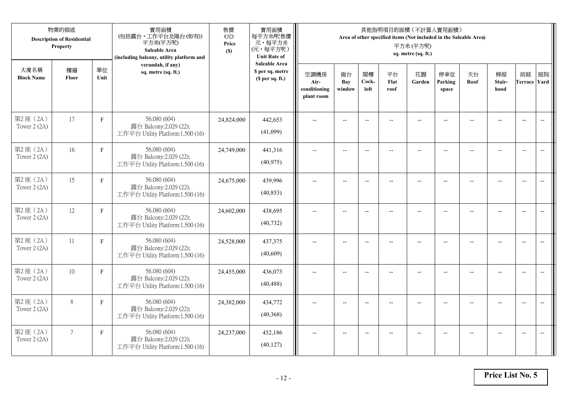|                           | 物業的描述<br><b>Description of Residential</b><br>Property |              | 實用面積<br>(包括露台,工作平台及陽台(如有))<br>平方米(平方呎)<br>Saleable Area<br>(including balcony, utility platform and | 售價<br>(元)<br>Price<br>(S) | 實用面積<br>每平方米/呎售價<br>元,每平方米<br>(元,每平方呎)<br><b>Unit Rate of</b>          |                                            |                          |                          |                          | 其他指明項目的面積 (不計算入實用面積)<br>Area of other specified items (Not included in the Saleable Area)<br>平方米(平方呎)<br>sq. metre (sq. ft.) |                          |                |                          |                           |                          |
|---------------------------|--------------------------------------------------------|--------------|-----------------------------------------------------------------------------------------------------|---------------------------|------------------------------------------------------------------------|--------------------------------------------|--------------------------|--------------------------|--------------------------|------------------------------------------------------------------------------------------------------------------------------|--------------------------|----------------|--------------------------|---------------------------|--------------------------|
| 大廈名稱<br><b>Block Name</b> | 樓層<br>Floor                                            | 單位<br>Unit   | verandah, if any)<br>sq. metre (sq. ft.)                                                            |                           | <b>Saleable Area</b><br>\$ per sq. metre<br>(S <sub>per</sub> sq. ft.) | 空調機房<br>Air-<br>conditioning<br>plant room | 窗台<br>Bay<br>window      | 閣樓<br>Cock-<br>loft      | 平台<br>Flat<br>roof       | 花園<br>Garden                                                                                                                 | 停車位<br>Parking<br>space  | 天台<br>Roof     | 梯屋<br>Stair-<br>hood     | 前庭<br><b>Terrace Yard</b> | 庭院                       |
| 第2座(2A)<br>Tower 2 (2A)   | 17                                                     | $\mathbf F$  | 56.080 (604)<br>露台 Balcony:2.029 (22);<br>工作平台 Utility Platform:1.500 (16)                          | 24,824,000                | 442,653<br>(41,099)                                                    |                                            |                          | $\overline{\phantom{a}}$ |                          |                                                                                                                              |                          |                |                          | $\overline{a}$            | $\overline{\phantom{a}}$ |
| 第2座(2A)<br>Tower 2 (2A)   | 16                                                     | $\mathbf{F}$ | 56.080 (604)<br>露台 Balcony:2.029 (22);<br>工作平台 Utility Platform:1.500 (16)                          | 24,749,000                | 441,316<br>(40, 975)                                                   | $\overline{\phantom{a}}$                   | $\overline{\phantom{a}}$ | $\overline{\phantom{a}}$ |                          | $\overline{\phantom{a}}$                                                                                                     | $-$                      |                | $\overline{a}$           | $-$                       |                          |
| 第2座(2A)<br>Tower 2 (2A)   | 15                                                     | $\mathbf F$  | 56.080 (604)<br>露台 Balcony:2.029 (22);<br>工作平台 Utility Platform:1.500 (16)                          | 24,675,000                | 439,996<br>(40, 853)                                                   |                                            | $\overline{\phantom{a}}$ | $-$                      | $-$                      | $-$                                                                                                                          |                          |                | $\overline{\phantom{a}}$ | $\overline{\phantom{a}}$  |                          |
| 第2座(2A)<br>Tower 2 (2A)   | 12                                                     | $\mathbf F$  | 56.080 (604)<br>露台 Balcony: 2.029 (22);<br>工作平台 Utility Platform:1.500 (16)                         | 24,602,000                | 438,695<br>(40, 732)                                                   | $-$                                        | $\overline{\phantom{m}}$ | $\overline{\phantom{a}}$ | $\overline{\phantom{a}}$ | $-$                                                                                                                          | $\overline{\phantom{a}}$ | $\overline{a}$ | --                       | $-$                       | $\overline{\phantom{m}}$ |
| 第2座 (2A)<br>Tower 2 (2A)  | 11                                                     | F            | 56.080 (604)<br>露台 Balcony: 2.029 (22);<br>工作平台 Utility Platform:1.500 (16)                         | 24,528,000                | 437,375<br>(40,609)                                                    | $\sim$                                     | $\overline{a}$           | $\overline{a}$           | $\overline{a}$           | $-$                                                                                                                          | $\overline{a}$           |                | $\overline{a}$           | $\overline{\phantom{a}}$  | $\overline{\phantom{a}}$ |
| 第2座(2A)<br>Tower 2 (2A)   | 10                                                     | $\mathbf F$  | 56.080 (604)<br>露台 Balcony:2.029 (22);<br>工作平台 Utility Platform:1.500 (16)                          | 24,455,000                | 436,073<br>(40, 488)                                                   | $\overline{\phantom{a}}$                   | $\overline{a}$           | $\overline{\phantom{a}}$ |                          | $-$                                                                                                                          | $-$                      | $-$            | $-$                      | $\overline{\phantom{a}}$  | $\overline{a}$           |
| 第2座(2A)<br>Tower 2 (2A)   | $8\,$                                                  | $\mathbf F$  | 56.080 (604)<br>露台 Balcony:2.029 (22);<br>工作平台 Utility Platform:1.500 (16)                          | 24,382,000                | 434,772<br>(40,368)                                                    |                                            |                          | $\overline{\phantom{a}}$ |                          |                                                                                                                              |                          |                |                          | $\overline{\phantom{a}}$  | $\overline{a}$           |
| 第2座(2A)<br>Tower 2 (2A)   | $7\overline{ }$                                        | $\mathbf{F}$ | 56.080 (604)<br>露台 Balcony:2.029 (22);<br>工作平台 Utility Platform:1.500 (16)                          | 24,237,000                | 432,186<br>(40, 127)                                                   | $\overline{\phantom{a}}$                   | $-$                      | $\overline{\phantom{a}}$ |                          | $\overline{a}$                                                                                                               | $-$                      |                | $-$                      | $-$                       | $\overline{\phantom{a}}$ |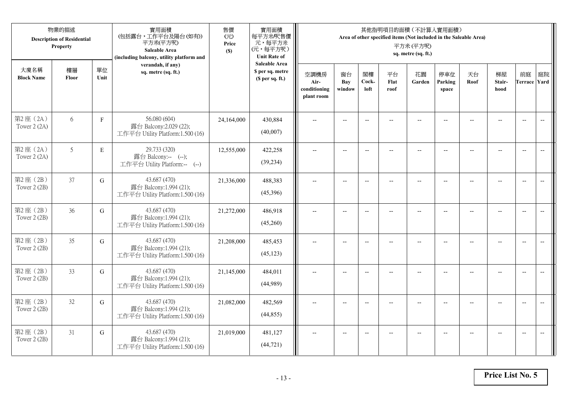|                           | 物業的描述<br><b>Description of Residential</b><br>Property |             | 實用面積<br>(包括露台,工作平台及陽台(如有))<br>平方米(平方呎)<br>Saleable Area<br>(including balcony, utility platform and | 售價<br>(元)<br>Price<br>(S) | 實用面積<br>每平方米/呎售價<br>元,每平方米<br>(元,每平方呎)<br><b>Unit Rate of</b>          |                                            |                          |                          |                          | 其他指明項目的面積 (不計算入實用面積)<br>Area of other specified items (Not included in the Saleable Area)<br>平方米(平方呎)<br>sq. metre (sq. ft.) |                          |                |                                                     |                           |                          |
|---------------------------|--------------------------------------------------------|-------------|-----------------------------------------------------------------------------------------------------|---------------------------|------------------------------------------------------------------------|--------------------------------------------|--------------------------|--------------------------|--------------------------|------------------------------------------------------------------------------------------------------------------------------|--------------------------|----------------|-----------------------------------------------------|---------------------------|--------------------------|
| 大廈名稱<br><b>Block Name</b> | 樓層<br>Floor                                            | 單位<br>Unit  | verandah, if any)<br>sq. metre (sq. ft.)                                                            |                           | <b>Saleable Area</b><br>\$ per sq. metre<br>(S <sub>per</sub> sq. ft.) | 空調機房<br>Air-<br>conditioning<br>plant room | 窗台<br>Bay<br>window      | 閣樓<br>Cock-<br>loft      | 平台<br>Flat<br>roof       | 花園<br>Garden                                                                                                                 | 停車位<br>Parking<br>space  | 天台<br>Roof     | 梯屋<br>Stair-<br>hood                                | 前庭<br><b>Terrace Yard</b> | 庭院                       |
| 第2座(2A)<br>Tower 2 (2A)   | 6                                                      | $\mathbf F$ | 56.080 (604)<br>露台 Balcony:2.029 (22);<br>工作平台 Utility Platform:1.500 (16)                          | 24,164,000                | 430,884<br>(40,007)                                                    |                                            |                          | $\overline{a}$           |                          |                                                                                                                              |                          |                |                                                     | $\overline{a}$            | $\overline{\phantom{a}}$ |
| 第2座(2A)<br>Tower 2 (2A)   | 5                                                      | E           | 29.733 (320)<br>露台 Balcony:-- (--);<br>工作平台 Utility Platform:-- (--)                                | 12,555,000                | 422,258<br>(39, 234)                                                   | $\overline{\phantom{a}}$                   | $\overline{\phantom{a}}$ | $\overline{a}$           | $\overline{a}$           | $\overline{a}$                                                                                                               | $-$                      |                | $\overline{a}$                                      | $-$                       |                          |
| 第2座(2B)<br>Tower 2 (2B)   | 37                                                     | $\mathbf G$ | 43.687 (470)<br>露台 Balcony:1.994 (21);<br>工作平台 Utility Platform:1.500 (16)                          | 21,336,000                | 488,383<br>(45,396)                                                    |                                            | $\overline{\phantom{a}}$ | $-$                      | $-$                      | $-$                                                                                                                          |                          |                | $\overline{\phantom{a}}$                            | $\overline{\phantom{a}}$  |                          |
| 第2座(2B)<br>Tower 2 (2B)   | 36                                                     | $\mathbf G$ | 43.687 (470)<br>露台 Balcony:1.994 (21);<br>工作平台 Utility Platform:1.500 (16)                          | 21,272,000                | 486,918<br>(45,260)                                                    | $-$                                        | $\overline{\phantom{m}}$ | $\overline{\phantom{a}}$ | $\overline{\phantom{a}}$ | $-$                                                                                                                          | $\overline{\phantom{a}}$ | $\overline{a}$ | $\hspace{0.05cm} -\hspace{0.05cm} -\hspace{0.05cm}$ | $-$                       | $\overline{\phantom{m}}$ |
| 第2座(2B)<br>Tower 2 (2B)   | 35                                                     | G           | 43.687 (470)<br>露台 Balcony:1.994 (21);<br>工作平台 Utility Platform:1.500 (16)                          | 21,208,000                | 485,453<br>(45, 123)                                                   | $\sim$                                     | $\overline{a}$           | $\overline{a}$           | $\overline{a}$           | $\overline{\phantom{a}}$                                                                                                     | $\overline{a}$           |                | $\overline{a}$                                      | $\overline{\phantom{a}}$  | $\overline{\phantom{a}}$ |
| 第2座(2B)<br>Tower 2 (2B)   | 33                                                     | $\mathbf G$ | 43.687 (470)<br>露台 Balcony:1.994 (21);<br>工作平台 Utility Platform:1.500 (16)                          | 21,145,000                | 484,011<br>(44,989)                                                    | $\overline{\phantom{a}}$                   | $\overline{a}$           | $\overline{\phantom{a}}$ |                          | $\overline{a}$                                                                                                               | $-$                      | $-$            | $\overline{a}$                                      | $\overline{\phantom{a}}$  | $\sim$                   |
| 第2座(2B)<br>Tower 2 (2B)   | 32                                                     | G           | 43.687 (470)<br>露台 Balcony:1.994 (21);<br>工作平台 Utility Platform:1.500 (16)                          | 21,082,000                | 482,569<br>(44, 855)                                                   |                                            |                          | $\overline{\phantom{a}}$ |                          |                                                                                                                              |                          |                |                                                     | $\overline{\phantom{a}}$  | $\overline{a}$           |
| 第2座(2B)<br>Tower $2(2B)$  | 31                                                     | G           | 43.687 (470)<br>露台 Balcony:1.994 (21);<br>工作平台 Utility Platform:1.500 (16)                          | 21,019,000                | 481,127<br>(44, 721)                                                   | $\overline{\phantom{a}}$                   | $-$                      | $\overline{\phantom{a}}$ |                          | $\overline{a}$                                                                                                               | $-$                      |                | $-$                                                 | $-$                       | $\overline{\phantom{a}}$ |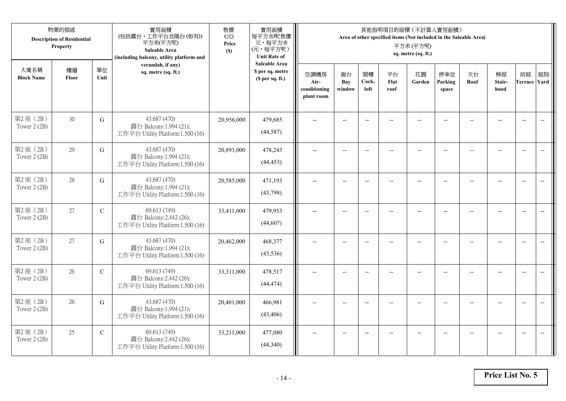|                           | 物業的描述<br><b>Description of Residential</b><br>Property |             | 實用面積<br>(包括露台,工作平台及陽台(如有))<br>平方米(平方呎)<br>Saleable Area<br>(including balcony, utility platform and | 售價<br>(元)<br>Price<br>(S) | 實用面積<br>每平方米/呎售價<br>元,每平方米<br>(元,每平方呎)<br><b>Unit Rate of</b>          |                                            |                          |                          |                          | 其他指明項目的面積 (不計算入實用面積)<br>Area of other specified items (Not included in the Saleable Area)<br>平方米(平方呎)<br>sq. metre (sq. ft.) |                          |                          |                      |                           |                          |
|---------------------------|--------------------------------------------------------|-------------|-----------------------------------------------------------------------------------------------------|---------------------------|------------------------------------------------------------------------|--------------------------------------------|--------------------------|--------------------------|--------------------------|------------------------------------------------------------------------------------------------------------------------------|--------------------------|--------------------------|----------------------|---------------------------|--------------------------|
| 大廈名稱<br><b>Block Name</b> | 樓層<br>Floor                                            | 單位<br>Unit  | verandah, if any)<br>sq. metre (sq. ft.)                                                            |                           | <b>Saleable Area</b><br>\$ per sq. metre<br>(S <sub>per</sub> sq. ft.) | 空調機房<br>Air-<br>conditioning<br>plant room | 窗台<br>Bay<br>window      | 閣樓<br>Cock-<br>loft      | 平台<br>Flat<br>roof       | 花園<br>Garden                                                                                                                 | 停車位<br>Parking<br>space  | 天台<br>Roof               | 梯屋<br>Stair-<br>hood | 前庭<br><b>Terrace Yard</b> | 庭院                       |
| 第2座(2B)<br>Tower 2 (2B)   | 30                                                     | G           | 43.687 (470)<br>露台 Balcony:1.994 (21);<br>工作平台 Utility Platform:1.500 (16)                          | 20,956,000                | 479,685<br>(44,587)                                                    |                                            |                          | $\overline{a}$           |                          |                                                                                                                              |                          |                          |                      | $\overline{a}$            | $\overline{\phantom{a}}$ |
| 第2座(2B)<br>Tower 2 (2B)   | 29                                                     | G           | 43.687 (470)<br>露台 Balcony:1.994 (21);<br>工作平台 Utility Platform:1.500 (16)                          | 20,893,000                | 478,243<br>(44, 453)                                                   | $\overline{\phantom{a}}$                   | $\overline{\phantom{a}}$ | $\overline{a}$           | $\overline{a}$           | $\overline{a}$                                                                                                               | $-$                      | $-$                      | $\overline{a}$       | $-$                       | $\overline{\phantom{m}}$ |
| 第2座(2B)<br>Tower 2 (2B)   | 28                                                     | $\mathbf G$ | 43.687 (470)<br>露台 Balcony:1.994 (21);<br>工作平台 Utility Platform:1.500 (16)                          | 20,585,000                | 471,193<br>(43,798)                                                    |                                            | $\overline{\phantom{a}}$ | $-$                      | $-$                      | $-$                                                                                                                          |                          |                          | $\overline{a}$       | $\overline{\phantom{a}}$  |                          |
| 第2座(2B)<br>Tower 2 (2B)   | 27                                                     | $\mathbf C$ | 69.613 (749)<br>露台 Balcony:2.442 (26);<br>工作平台 Utility Platform:1.500 (16)                          | 33,411,000                | 479,953<br>(44, 607)                                                   | $-$                                        | $\overline{\phantom{m}}$ | $\overline{\phantom{a}}$ | $\overline{\phantom{a}}$ | $-$                                                                                                                          | $\overline{\phantom{a}}$ | $\overline{\phantom{a}}$ | --                   | $-$                       | $\overline{\phantom{m}}$ |
| 第2座(2B)<br>Tower 2 (2B)   | 27                                                     | G           | 43.687 (470)<br>露台 Balcony:1.994 (21);<br>工作平台 Utility Platform:1.500 (16)                          | 20,462,000                | 468,377<br>(43, 536)                                                   | $\sim$                                     | $\overline{a}$           | $\overline{a}$           | $\overline{a}$           | $-$                                                                                                                          | $\overline{a}$           |                          | $\overline{a}$       | $\overline{\phantom{a}}$  | $\overline{\phantom{a}}$ |
| 第2座(2B)<br>Tower 2 (2B)   | 26                                                     | ${\bf C}$   | 69.613 (749)<br>露台 Balcony:2.442 (26);<br>工作平台 Utility Platform:1.500 (16)                          | 33,311,000                | 478,517<br>(44, 474)                                                   | $\overline{\phantom{a}}$                   | $\overline{a}$           | $\overline{\phantom{a}}$ |                          | $-$                                                                                                                          | $-$                      | $-$                      | $\overline{a}$       | $\overline{\phantom{a}}$  | $\sim$                   |
| 第2座(2B)<br>Tower 2 (2B)   | 26                                                     | G           | 43.687 (470)<br>露台 Balcony:1.994 (21);<br>工作平台 Utility Platform:1.500 (16)                          | 20,401,000                | 466,981<br>(43, 406)                                                   |                                            |                          | $\overline{\phantom{a}}$ |                          |                                                                                                                              |                          |                          |                      | $\overline{\phantom{a}}$  | $\overline{a}$           |
| 第2座(2B)<br>Tower 2 (2B)   | 25                                                     | $\mathbf C$ | 69.613 (749)<br>露台 Balcony:2.442 (26);<br>工作平台 Utility Platform:1.500 (16)                          | 33,211,000                | 477,080<br>(44,340)                                                    | $\overline{\phantom{a}}$                   | $-$                      | $\overline{\phantom{a}}$ |                          | $\overline{a}$                                                                                                               | $-$                      |                          | $-$                  | $-$                       | $\overline{\phantom{a}}$ |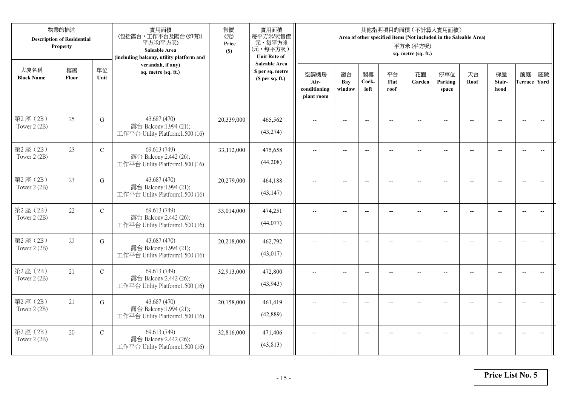|                           | 物業的描述<br><b>Description of Residential</b><br>Property |               | 實用面積<br>(包括露台,工作平台及陽台(如有))<br>平方米(平方呎)<br>Saleable Area<br>(including balcony, utility platform and | 售價<br>(元)<br>Price<br>(S) | 實用面積<br>每平方米/呎售價<br>元,每平方米<br>(元,每平方呎)<br><b>Unit Rate of</b>          |                                            |                          |                          |                          | 其他指明項目的面積 (不計算入實用面積)<br>Area of other specified items (Not included in the Saleable Area)<br>平方米(平方呎)<br>sq. metre (sq. ft.) |                          |                |                      |                           |                          |
|---------------------------|--------------------------------------------------------|---------------|-----------------------------------------------------------------------------------------------------|---------------------------|------------------------------------------------------------------------|--------------------------------------------|--------------------------|--------------------------|--------------------------|------------------------------------------------------------------------------------------------------------------------------|--------------------------|----------------|----------------------|---------------------------|--------------------------|
| 大廈名稱<br><b>Block Name</b> | 樓層<br>Floor                                            | 單位<br>Unit    | verandah, if any)<br>sq. metre (sq. ft.)                                                            |                           | <b>Saleable Area</b><br>\$ per sq. metre<br>(S <sub>per</sub> sq. ft.) | 空調機房<br>Air-<br>conditioning<br>plant room | 窗台<br>Bay<br>window      | 閣樓<br>Cock-<br>loft      | 平台<br>Flat<br>roof       | 花園<br>Garden                                                                                                                 | 停車位<br>Parking<br>space  | 天台<br>Roof     | 梯屋<br>Stair-<br>hood | 前庭<br><b>Terrace Yard</b> | 庭院                       |
| 第2座(2B)<br>Tower 2 (2B)   | 25                                                     | G             | 43.687 (470)<br>露台 Balcony:1.994 (21);<br>工作平台 Utility Platform:1.500 (16)                          | 20,339,000                | 465,562<br>(43, 274)                                                   |                                            |                          | $\overline{a}$           |                          |                                                                                                                              |                          |                |                      | $\overline{a}$            | $\overline{\phantom{a}}$ |
| 第2座(2B)<br>Tower 2 (2B)   | 23                                                     | $\mathcal{C}$ | 69.613 (749)<br>露台 Balcony:2.442 (26);<br>工作平台 Utility Platform:1.500 (16)                          | 33,112,000                | 475,658<br>(44,208)                                                    | $\overline{\phantom{a}}$                   | $\overline{\phantom{a}}$ | $\overline{a}$           | $\overline{a}$           | $\overline{a}$                                                                                                               | $-$                      |                | $\overline{a}$       | $-$                       |                          |
| 第2座(2B)<br>Tower 2 (2B)   | 23                                                     | $\mathbf G$   | 43.687 (470)<br>露台 Balcony:1.994 (21);<br>工作平台 Utility Platform:1.500 (16)                          | 20,279,000                | 464,188<br>(43, 147)                                                   |                                            | $\overline{\phantom{a}}$ | $-$                      | $-$                      | $-$                                                                                                                          |                          |                | $\overline{a}$       | $\overline{\phantom{a}}$  |                          |
| 第2座(2B)<br>Tower 2 (2B)   | 22                                                     | $\mathbf C$   | 69.613 (749)<br>露台 Balcony:2.442 (26);<br>工作平台 Utility Platform:1.500 (16)                          | 33,014,000                | 474,251<br>(44,077)                                                    | $-$                                        | $\overline{\phantom{m}}$ | $\overline{\phantom{a}}$ | $\overline{\phantom{a}}$ | $-$                                                                                                                          | $\overline{\phantom{a}}$ | $\overline{a}$ | --                   | $-$                       | $\overline{\phantom{m}}$ |
| 第2座(2B)<br>Tower 2 (2B)   | 22                                                     | G             | 43.687 (470)<br>露台 Balcony:1.994 (21);<br>工作平台 Utility Platform:1.500 (16)                          | 20,218,000                | 462,792<br>(43, 017)                                                   | $\sim$                                     | $\overline{a}$           | $\overline{a}$           | $\overline{a}$           | $-$                                                                                                                          | $\overline{a}$           |                | $\overline{a}$       | $\overline{\phantom{a}}$  | $\overline{\phantom{a}}$ |
| 第2座(2B)<br>Tower 2 (2B)   | 21                                                     | ${\bf C}$     | 69.613 (749)<br>露台 Balcony:2.442 (26);<br>工作平台 Utility Platform:1.500 (16)                          | 32,913,000                | 472,800<br>(43, 943)                                                   | $\overline{\phantom{a}}$                   | $\overline{a}$           | $-$                      |                          | $-$                                                                                                                          | $-$                      | $-$            | $\overline{a}$       | $\overline{\phantom{a}}$  | $\sim$                   |
| 第2座(2B)<br>Tower 2 (2B)   | 21                                                     | G             | 43.687 (470)<br>露台 Balcony:1.994 (21);<br>工作平台 Utility Platform:1.500 (16)                          | 20,158,000                | 461,419<br>(42,889)                                                    |                                            |                          | $\overline{\phantom{a}}$ |                          |                                                                                                                              |                          |                |                      | $\overline{\phantom{a}}$  | $\overline{\phantom{a}}$ |
| 第2座(2B)<br>Tower 2 (2B)   | 20                                                     | $\mathbf C$   | 69.613 (749)<br>露台 Balcony:2.442 (26);<br>工作平台 Utility Platform:1.500 (16)                          | 32,816,000                | 471,406<br>(43, 813)                                                   | $\overline{\phantom{a}}$                   | $-$                      | $-$                      |                          | $\overline{a}$                                                                                                               | $-$                      |                | $-$                  | $-$                       | $\overline{\phantom{a}}$ |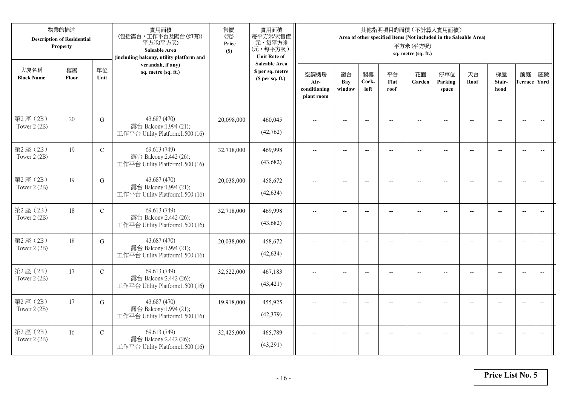|                           | 物業的描述<br><b>Description of Residential</b><br>Property |               | 實用面積<br>(包括露台,工作平台及陽台(如有))<br>平方米(平方呎)<br>Saleable Area<br>(including balcony, utility platform and | 售價<br>(元)<br>Price<br>(S) | 實用面積<br>每平方米/呎售價<br>元,每平方米<br>(元,每平方呎)<br><b>Unit Rate of</b>          |                                            |                          |                          |                          | 其他指明項目的面積 (不計算入實用面積)<br>Area of other specified items (Not included in the Saleable Area)<br>平方米(平方呎)<br>sq. metre (sq. ft.) |                          |                |                          |                           |                          |
|---------------------------|--------------------------------------------------------|---------------|-----------------------------------------------------------------------------------------------------|---------------------------|------------------------------------------------------------------------|--------------------------------------------|--------------------------|--------------------------|--------------------------|------------------------------------------------------------------------------------------------------------------------------|--------------------------|----------------|--------------------------|---------------------------|--------------------------|
| 大廈名稱<br><b>Block Name</b> | 樓層<br>Floor                                            | 單位<br>Unit    | verandah, if any)<br>sq. metre (sq. ft.)                                                            |                           | <b>Saleable Area</b><br>\$ per sq. metre<br>(S <sub>per</sub> sq. ft.) | 空調機房<br>Air-<br>conditioning<br>plant room | 窗台<br>Bay<br>window      | 閣樓<br>Cock-<br>loft      | 平台<br>Flat<br>roof       | 花園<br>Garden                                                                                                                 | 停車位<br>Parking<br>space  | 天台<br>Roof     | 梯屋<br>Stair-<br>hood     | 前庭<br><b>Terrace Yard</b> | 庭院                       |
| 第2座(2B)<br>Tower 2 (2B)   | 20                                                     | G             | 43.687 (470)<br>露台 Balcony:1.994 (21);<br>工作平台 Utility Platform:1.500 (16)                          | 20,098,000                | 460,045<br>(42,762)                                                    |                                            |                          | $\overline{a}$           |                          |                                                                                                                              |                          |                |                          | $\overline{a}$            | $\overline{\phantom{a}}$ |
| 第2座(2B)<br>Tower 2 (2B)   | 19                                                     | $\mathbf C$   | 69.613 (749)<br>露台 Balcony:2.442 (26);<br>工作平台 Utility Platform:1.500 (16)                          | 32,718,000                | 469,998<br>(43,682)                                                    | $\overline{\phantom{a}}$                   | $\overline{\phantom{a}}$ | $\overline{\phantom{a}}$ |                          | $\overline{\phantom{a}}$                                                                                                     | $-$                      |                | $\overline{a}$           | $-$                       |                          |
| 第2座(2B)<br>Tower 2 (2B)   | 19                                                     | $\mathbf G$   | 43.687 (470)<br>露台 Balcony:1.994 (21);<br>工作平台 Utility Platform:1.500 (16)                          | 20,038,000                | 458,672<br>(42, 634)                                                   |                                            | $\overline{\phantom{a}}$ | $-$                      | $-$                      | $-$                                                                                                                          |                          |                | $\overline{\phantom{a}}$ | $\overline{\phantom{a}}$  |                          |
| 第2座(2B)<br>Tower 2 (2B)   | 18                                                     | $\mathbf C$   | 69.613 (749)<br>露台 Balcony:2.442 (26);<br>工作平台 Utility Platform:1.500 (16)                          | 32,718,000                | 469,998<br>(43,682)                                                    | $-$                                        | $\overline{\phantom{m}}$ | $\overline{\phantom{a}}$ | $\overline{\phantom{a}}$ | $-$                                                                                                                          | $\overline{\phantom{a}}$ | $\overline{a}$ | --                       | $-$                       | $\overline{\phantom{m}}$ |
| 第2座(2B)<br>Tower 2 (2B)   | 18                                                     | G             | 43.687 (470)<br>露台 Balcony:1.994 (21);<br>工作平台 Utility Platform:1.500 (16)                          | 20,038,000                | 458,672<br>(42, 634)                                                   | $\sim$                                     | $\overline{a}$           | $\overline{a}$           | $\overline{a}$           | $-$                                                                                                                          | $\overline{a}$           |                | $\overline{a}$           | $\overline{\phantom{a}}$  | $\overline{\phantom{a}}$ |
| 第2座(2B)<br>Tower 2 (2B)   | 17                                                     | $\mathcal{C}$ | 69.613 (749)<br>露台 Balcony:2.442 (26);<br>工作平台 Utility Platform:1.500 (16)                          | 32,522,000                | 467,183<br>(43, 421)                                                   | $\overline{\phantom{a}}$                   | $\overline{a}$           | $\overline{\phantom{a}}$ |                          | $-$                                                                                                                          | $-$                      | $-$            | $-$                      | $\overline{\phantom{a}}$  | $\sim$                   |
| 第2座(2B)<br>Tower 2 (2B)   | 17                                                     | G             | 43.687 (470)<br>露台 Balcony:1.994 (21);<br>工作平台 Utility Platform:1.500 (16)                          | 19,918,000                | 455,925<br>(42,379)                                                    |                                            |                          | $\overline{\phantom{a}}$ |                          |                                                                                                                              |                          |                |                          | $\overline{\phantom{a}}$  | $\overline{\phantom{a}}$ |
| 第2座(2B)<br>Tower 2 (2B)   | 16                                                     | $\mathbf C$   | 69.613 (749)<br>露台 Balcony:2.442 (26);<br>工作平台 Utility Platform:1.500 (16)                          | 32,425,000                | 465,789<br>(43,291)                                                    | $\overline{\phantom{a}}$                   | $-$                      | $\overline{\phantom{a}}$ |                          | $\overline{a}$                                                                                                               | $-$                      |                | $-$                      | $-$                       | $\overline{\phantom{a}}$ |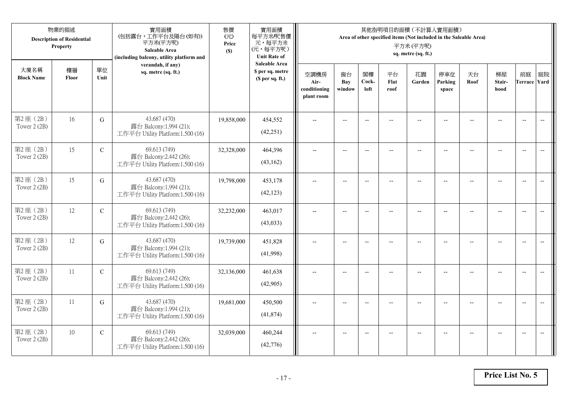|                           | 物業的描述<br><b>Description of Residential</b><br>Property |               | 實用面積<br>(包括露台,工作平台及陽台(如有))<br>平方米(平方呎)<br>Saleable Area<br>(including balcony, utility platform and | 售價<br>(元)<br>Price<br>(S) | 實用面積<br>每平方米/呎售價<br>元,每平方米<br>(元,每平方呎)<br><b>Unit Rate of</b>          |                                            |                          |                          |                          | 其他指明項目的面積 (不計算入實用面積)<br>Area of other specified items (Not included in the Saleable Area)<br>平方米(平方呎)<br>sq. metre (sq. ft.) |                          |                |                      |                          |                          |
|---------------------------|--------------------------------------------------------|---------------|-----------------------------------------------------------------------------------------------------|---------------------------|------------------------------------------------------------------------|--------------------------------------------|--------------------------|--------------------------|--------------------------|------------------------------------------------------------------------------------------------------------------------------|--------------------------|----------------|----------------------|--------------------------|--------------------------|
| 大廈名稱<br><b>Block Name</b> | 樓層<br>Floor                                            | 單位<br>Unit    | verandah, if any)<br>sq. metre (sq. ft.)                                                            |                           | <b>Saleable Area</b><br>\$ per sq. metre<br>(S <sub>per</sub> sq. ft.) | 空調機房<br>Air-<br>conditioning<br>plant room | 窗台<br>Bay<br>window      | 閣樓<br>Cock-<br>loft      | 平台<br>Flat<br>roof       | 花園<br>Garden                                                                                                                 | 停車位<br>Parking<br>space  | 天台<br>Roof     | 梯屋<br>Stair-<br>hood | 前庭<br>Terrace Yard       | 庭院                       |
| 第2座(2B)<br>Tower 2 (2B)   | 16                                                     | $\mathbf G$   | 43.687 (470)<br>露台 Balcony:1.994 (21);<br>工作平台 Utility Platform:1.500 (16)                          | 19,858,000                | 454,552<br>(42, 251)                                                   |                                            | $\overline{\phantom{a}}$ | $-$                      |                          | $-$                                                                                                                          |                          |                |                      | $\overline{\phantom{a}}$ | $\overline{\phantom{a}}$ |
| 第2座(2B)<br>Tower 2 (2B)   | 15                                                     | $\mathcal{C}$ | 69.613 (749)<br>露台 Balcony:2.442 (26);<br>工作平台 Utility Platform:1.500 (16)                          | 32,328,000                | 464,396<br>(43,162)                                                    | $\overline{\phantom{a}}$                   | $-$                      | $\overline{\phantom{a}}$ | $-$                      | $\overline{\phantom{m}}$                                                                                                     | $-$                      | $-$            | $-$                  | $-$                      |                          |
| 第2座(2B)<br>Tower 2 (2B)   | 15                                                     | G             | 43.687 (470)<br>露台 Balcony:1.994 (21);<br>工作平台 Utility Platform:1.500 (16)                          | 19,798,000                | 453,178<br>(42, 123)                                                   | $\overline{\phantom{a}}$                   | $\overline{a}$           | $\overline{a}$           | $-$                      | $\overline{a}$                                                                                                               | $-$                      | $\sim$         | $\overline{a}$       | $\overline{\phantom{a}}$ |                          |
| 第2座(2B)<br>Tower 2 (2B)   | 12                                                     | ${\bf C}$     | 69.613 (749)<br>露台 Balcony:2.442 (26);<br>工作平台 Utility Platform:1.500 (16)                          | 32,232,000                | 463,017<br>(43,033)                                                    | $\overline{a}$                             | $-$                      | $\overline{\phantom{a}}$ | $\overline{\phantom{a}}$ | $\overline{\phantom{a}}$                                                                                                     | $\overline{\phantom{a}}$ | $\overline{a}$ | $\overline{a}$       | $\overline{\phantom{a}}$ | $\overline{\phantom{a}}$ |
| 第2座(2B)<br>Tower 2 (2B)   | 12                                                     | G             | 43.687 (470)<br>露台 Balcony:1.994 (21);<br>工作平台 Utility Platform:1.500 (16)                          | 19,739,000                | 451,828<br>(41,998)                                                    |                                            | $\overline{\phantom{a}}$ | $\overline{\phantom{a}}$ |                          | $\overline{a}$                                                                                                               |                          |                |                      | $\overline{\phantom{a}}$ | $\overline{\phantom{m}}$ |
| 第2座(2B)<br>Tower 2 (2B)   | 11                                                     | $\mathbf C$   | 69.613 (749)<br>露台 Balcony:2.442 (26);<br>工作平台 Utility Platform:1.500 (16)                          | 32,136,000                | 461,638<br>(42,905)                                                    |                                            | $-$                      | $\overline{\phantom{a}}$ |                          | $\sim$                                                                                                                       |                          |                | $\sim$               | $\overline{a}$           | $\overline{a}$           |
| 第2座(2B)<br>Tower 2 (2B)   | 11                                                     | $\mathbf G$   | 43.687 (470)<br>露台 Balcony:1.994 (21);<br>工作平台 Utility Platform:1.500 (16)                          | 19,681,000                | 450,500<br>(41,874)                                                    |                                            | $-$                      | $\overline{\phantom{a}}$ |                          |                                                                                                                              |                          |                | $-$                  | $\overline{\phantom{a}}$ | $-$                      |
| 第2座(2B)<br>Tower 2 (2B)   | 10                                                     | $\mathbf C$   | 69.613 (749)<br>露台 Balcony:2.442 (26);<br>工作平台 Utility Platform:1.500 (16)                          | 32,039,000                | 460,244<br>(42, 776)                                                   | $\overline{\phantom{a}}$                   | $-$                      | $\overline{\phantom{a}}$ |                          | $\overline{a}$                                                                                                               |                          |                | $-$                  | $-$                      | $\overline{\phantom{a}}$ |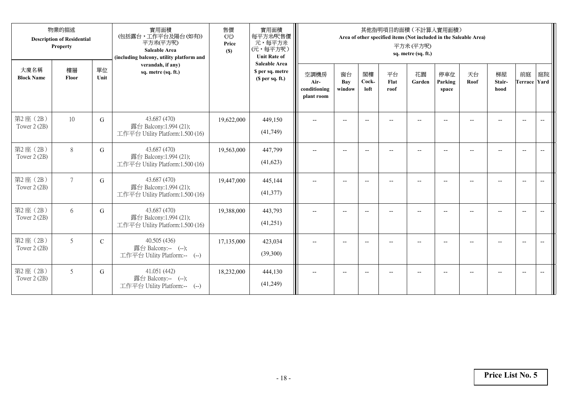|                           | 物業的描述<br><b>Description of Residential</b><br>Property |               | 實用面積<br>(包括露台,工作平台及陽台(如有))<br>平方米(平方呎)<br><b>Saleable Area</b><br>(including balcony, utility platform and | 售價<br>(元)<br>Price<br>(S) | 實用面積<br>每平方米/呎售價<br>元,每平方米<br>(元,每平方呎)<br><b>Unit Rate of</b> |                                            |                          |                          |                    | 其他指明項目的面積 (不計算入實用面積)<br>Area of other specified items (Not included in the Saleable Area)<br>平方米(平方呎)<br>sq. metre (sq. ft.) |                         |            |                          |                          |    |
|---------------------------|--------------------------------------------------------|---------------|------------------------------------------------------------------------------------------------------------|---------------------------|---------------------------------------------------------------|--------------------------------------------|--------------------------|--------------------------|--------------------|------------------------------------------------------------------------------------------------------------------------------|-------------------------|------------|--------------------------|--------------------------|----|
| 大廈名稱<br><b>Block Name</b> | 樓層<br>Floor                                            | 單位<br>Unit    | verandah, if any)<br>sq. metre (sq. ft.)                                                                   |                           | <b>Saleable Area</b><br>\$ per sq. metre<br>(\$ per sq. ft.)  | 空調機房<br>Air-<br>conditioning<br>plant room | 窗台<br>Bay<br>window      | 閣樓<br>Cock-<br>loft      | 平台<br>Flat<br>roof | 花園<br>Garden                                                                                                                 | 停車位<br>Parking<br>space | 天台<br>Roof | 梯屋<br>Stair-<br>hood     | 前庭<br>Terrace Yard       | 庭院 |
| 第2座(2B)<br>Tower 2 (2B)   | 10                                                     | G             | 43.687 (470)<br>露台 Balcony:1.994 (21);<br>工作平台 Utility Platform:1.500 (16)                                 | 19,622,000                | 449,150<br>(41,749)                                           | $\overline{\phantom{a}}$                   |                          | $\overline{\phantom{a}}$ |                    |                                                                                                                              |                         |            |                          | $\overline{\phantom{a}}$ |    |
| 第2座(2B)<br>Tower $2(2B)$  | $8\,$                                                  | G             | 43.687 (470)<br>露台 Balcony:1.994 (21);<br>工作平台 Utility Platform:1.500 (16)                                 | 19,563,000                | 447,799<br>(41, 623)                                          | $\overline{\phantom{a}}$                   | $\overline{\phantom{a}}$ | $\overline{\phantom{a}}$ | --                 | $\overline{\phantom{a}}$                                                                                                     | $-$                     |            | $\overline{\phantom{a}}$ | $\overline{\phantom{a}}$ |    |
| 第2座(2B)<br>Tower $2(2B)$  | $7\phantom{.0}$                                        | G             | 43.687 (470)<br>露台 Balcony:1.994 (21);<br>工作平台 Utility Platform:1.500 (16)                                 | 19,447,000                | 445,144<br>(41, 377)                                          |                                            |                          | $\overline{\phantom{m}}$ |                    |                                                                                                                              |                         |            |                          | $\overline{\phantom{a}}$ |    |
| 第2座(2B)<br>Tower 2 (2B)   | 6                                                      | G             | 43.687 (470)<br>露台 Balcony:1.994 (21);<br>工作平台 Utility Platform:1.500 (16)                                 | 19,388,000                | 443,793<br>(41,251)                                           |                                            |                          | $\overline{a}$           |                    |                                                                                                                              |                         |            |                          | $\overline{\phantom{a}}$ |    |
| 第2座(2B)<br>Tower $2(2B)$  | 5                                                      | $\mathcal{C}$ | 40.505 (436)<br>露台 Balcony:-- (--);<br>工作平台 Utility Platform:--<br>$(-)$                                   | 17,135,000                | 423,034<br>(39,300)                                           | $-$                                        | $-$                      | $-$                      |                    | $\overline{\phantom{a}}$                                                                                                     | --                      | $-$        | $-$                      | $\overline{\phantom{a}}$ |    |
| 第2座 (2B)<br>Tower 2 (2B)  | 5                                                      | G             | 41.051 (442)<br>露台 Balcony:-- (--);<br>工作平台 Utility Platform:--<br>$(--)$                                  | 18,232,000                | 444,130<br>(41,249)                                           | $-$                                        |                          | $\overline{\phantom{m}}$ | $-$                | $-$                                                                                                                          |                         |            | --                       | $\overline{\phantom{a}}$ |    |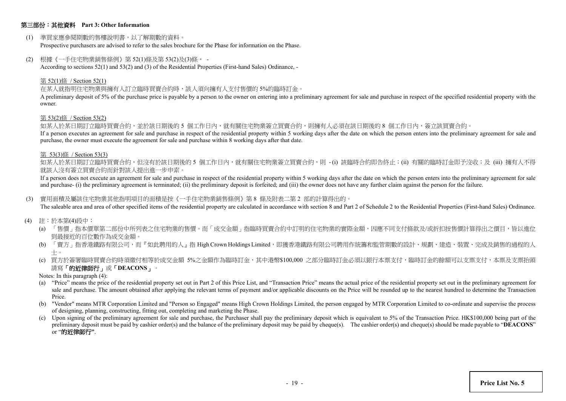#### 第三部份:其他資料 **Part 3: Other Information**

(1) 準買家應參閱期數的售樓說明書,以了解期數的資料。

Prospective purchasers are advised to refer to the sales brochure for the Phase for information on the Phase.

(2) 根據《一手住宅物業銷售條例》第 52(1)條及第 53(2)及(3)條, -

According to sections 52(1) and 53(2) and (3) of the Residential Properties (First-hand Sales) Ordinance, -

#### 第 52(1)條 / Section 52(1)

#### 在某人就指明住宅物業與擁有人訂立臨時買賣合約時,該人須向擁有人支付售價的 5%的臨時訂金。

A preliminary deposit of 5% of the purchase price is payable by a person to the owner on entering into a preliminary agreement for sale and purchase in respect of the specified residential property with the owner.

#### 第 53(2)條 / Section 53(2)

如某人於某日期訂立臨時買賣合約,並於該日期後的 5 個工作日內,就有關住宅物業簽立買賣合約,則擁有人必須在該日期後的 8 個工作日內,簽立該買賣合約。

If a person executes an agreement for sale and purchase in respect of the residential property within 5 working days after the date on which the person enters into the preliminary agreement for sale and purchase, the owner must execute the agreement for sale and purchase within 8 working days after that date.

#### 第 53(3)條 / Section 53(3)

如某人於某日期訂立臨時買賣合約,但沒有於該日期後的 5 個工作日内,就有關住宅物業簽立買賣合約,則 -(i) 該臨時合約即告終止;(ii) 有關的臨時訂金即予沒收;及 (iii) 擁有人不得 就該人沒有簽立買賣合約而針對該人提出進一步申索。

If a person does not execute an agreement for sale and purchase in respect of the residential property within 5 working days after the date on which the person enters into the preliminary agreement for sale and purchase- (i) the preliminary agreement is terminated; (ii) the preliminary deposit is forfeited; and (iii) the owner does not have any further claim against the person for the failure.

#### (3) 實用面積及屬該住宅物業其他指明項目的面積是按《一手住宅物業銷售條例》第 8 條及附表二第 2 部的計算得出的。

The saleable area and area of other specified items of the residential property are calculated in accordance with section 8 and Part 2 of Schedule 2 to the Residential Properties (First-hand Sales) Ordinance.

- (4) 註:於本第(4)段中:
	- (a) 「售價」指本價單第二部份中所列表之住宅物業的售價。而「成交金額」指臨時買賣合約中訂明的住宅物業的實際金額,因應不同支付條款及/或折扣按售價計算得出之價目,皆以進位 到最接近的百位數作為成交金額。
	- (b) 「賣方」指香港鐵路有限公司,而『如此聘用的人』指 High Crown Holdings Limited,即獲香港鐵路有限公司聘用作統籌和監管期數的設計、規劃、建造、裝置、完成及銷售的過程的人 士。
	- (c) 買方於簽署臨時買賣合約時須繳付相等於成交金額 5%之金額作為臨時訂金,其中港幣\$100,000 之部分臨時訂金必須以銀行本票支付,臨時訂金的餘額可以支票支付,本票及支票抬頭 請寫「的近律師行」或「**DEACONS**」。
	- Notes: In this paragraph (4):
	- (a) "Price" means the price of the residential property set out in Part 2 of this Price List, and "Transaction Price" means the actual price of the residential property set out in the preliminary agreement for sale and purchase. The amount obtained after applying the relevant terms of payment and/or applicable discounts on the Price will be rounded up to the nearest hundred to determine the Transaction Price.
	- (b) "Vendor" means MTR Corporation Limited and "Person so Engaged" means High Crown Holdings Limited, the person engaged by MTR Corporation Limited to co-ordinate and supervise the process of designing, planning, constructing, fitting out, completing and marketing the Phase.
	- (c) Upon signing of the preliminary agreement for sale and purchase, the Purchaser shall pay the preliminary deposit which is equivalent to 5% of the Transaction Price. HK\$100,000 being part of the preliminary deposit must be paid by cashier order(s) and the balance of the preliminary deposit may be paid by cheque(s). The cashier order(s) and cheque(s) should be made payable to "**DEACONS**" or "的近律師行**"**.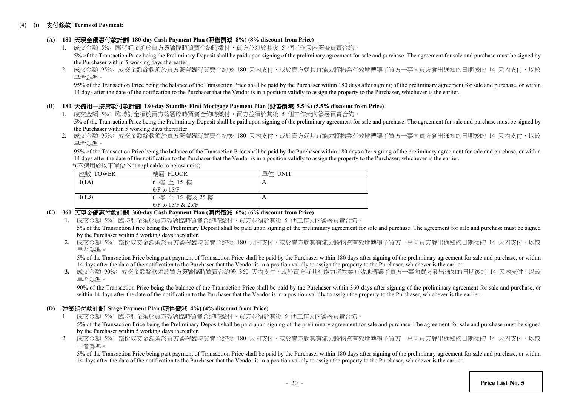#### (4) (i) 支付條款 **Terms of Payment:**

## **(A) 180** 天現金優惠付款計劃 **180-day Cash Payment Plan (**照售價減 **8%) (8% discount from Price)**

- 1. 成交金額 5%: 臨時訂金須於買方簽署臨時買賣合約時繳付,買方並須於其後 5 個工作天内簽署買賣合約。 5% of the Transaction Price being the Preliminary Deposit shall be paid upon signing of the preliminary agreement for sale and purchase. The agreement for sale and purchase must be signed by the Purchaser within 5 working days thereafter.
- 2. 成交金額 95%: 成交金額餘款須於買方簽署臨時買賣合約後 180 天內支付,或於賣方就其有能力將物業有效地轉讓予買方一事向買方發出通知的日期後的 14 天内支付,以較 早者為準。

95% of the Transaction Price being the balance of the Transaction Price shall be paid by the Purchaser within 180 days after signing of the preliminary agreement for sale and purchase, or within 14 days after the date of the notification to the Purchaser that the Vendor is in a position validly to assign the property to the Purchaser, whichever is the earlier.

#### (B) **180** 天備用一按貸款付款計劃 **180-day Standby First Mortgage Payment Plan (**照售價減 **5.5%) (5.5% discount from Price)**

- 1. 成交金額 5%: 臨時訂金須於買方簽署臨時買賣合約時繳付,買方並須於其後 5 個工作天內簽署買賣合約。 5% of the Transaction Price being the Preliminary Deposit shall be paid upon signing of the preliminary agreement for sale and purchase. The agreement for sale and purchase must be signed by the Purchaser within 5 working days thereafter.
- 2. 成交金額 95%: 成交金額餘款須於買方簽署臨時買賣合約後 180 天內支付,或於賣方就其有能力將物業有效地轉讓予買方一事向買方發出通知的日期後的 14 天内支付,以較 早者為準。

 95% of the Transaction Price being the balance of the Transaction Price shall be paid by the Purchaser within 180 days after signing of the preliminary agreement for sale and purchase, or within 14 days after the date of the notification to the Purchaser that the Vendor is in a position validly to assign the property to the Purchaser, whichever is the earlier.

\*(不適用於以下單位 Not applicable to below units)

| --       |                    |         |
|----------|--------------------|---------|
| 座數 TOWER | 樓層 FLOOR           | 單位 UNIT |
| 1(1A)    | 6 樓 至 15 樓         | A       |
|          | $6/F$ to $15/F$    |         |
| 1(1B)    | 6 樓 至 15 樓及 25 樓   | A       |
|          | 6/F to 15/F & 25/F |         |

## **(C) 360** 天現金優惠付款計劃 **360-day Cash Payment Plan (**照售價減 **6%) (6% discount from Price)**

1. 成交金額 5%: 臨時訂金須於買方簽署臨時買賣合約時繳付,買方並須於其後 5 個工作天内簽署買賣合約。

5% of the Transaction Price being the Preliminary Deposit shall be paid upon signing of the preliminary agreement for sale and purchase. The agreement for sale and purchase must be signed by the Purchaser within 5 working days thereafter.

2. 成交金額 5%: 部份成交金額須於買方簽署臨時買賣合約後 180 天內支付,或於賣方就其有能力將物業有效地轉讓予買方一事向買方發出通知的日期後的 14 天內支付,以較 早者為準。

5% of the Transaction Price being part payment of Transaction Price shall be paid by the Purchaser within 180 days after signing of the preliminary agreement for sale and purchase, or within 14 days after the date of the notification to the Purchaser that the Vendor is in a position validly to assign the property to the Purchaser, whichever is the earlier.

3. 成交金額 90%: 成交金額餘款須於買方簽署臨時買賣合約後 360 天內支付,或於賣方就其有能力將物業有效地轉讓予買方一事向買方發出涌知的日期後的 14 天內支付,以較 早者為準。

90% of the Transaction Price being the balance of the Transaction Price shall be paid by the Purchaser within 360 days after signing of the preliminary agreement for sale and purchase, or within 14 days after the date of the notification to the Purchaser that the Vendor is in a position validly to assign the property to the Purchaser, whichever is the earlier.

#### **(D)** 建築期付款計劃 **Stage Payment Plan (**照售價減 **4%) (4% discount from Price)**

- 1. 成交金額 5%: 臨時訂金須於買方簽署臨時買賣合約時繳付,買方並須於其後 5 個工作天內簽署買賣合約。 5% of the Transaction Price being the Preliminary Deposit shall be paid upon signing of the preliminary agreement for sale and purchase. The agreement for sale and purchase must be signed by the Purchaser within 5 working days thereafter.
- 2. 成交金額 5%: 部份成交金額須於買方簽署臨時買賣合約後 180 天內支付,或於賣方就其有能力將物業有效地轉讓予買方一事向買方發出通知的日期後的 14 天内支付,以較 早者為準。

5% of the Transaction Price being part payment of Transaction Price shall be paid by the Purchaser within 180 days after signing of the preliminary agreement for sale and purchase, or within 14 days after the date of the notification to the Purchaser that the Vendor is in a position validly to assign the property to the Purchaser, whichever is the earlier.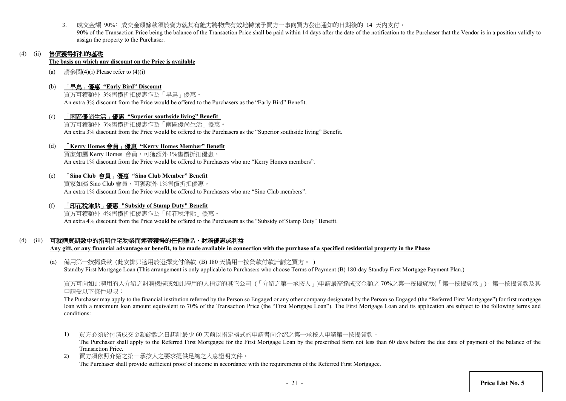3. 成交金額 90%﹕成交金額餘款須於賣方就其有能力將物業有效地轉讓予買方一事向買方發出通知的日期後的 14 天內支付。 90% of the Transaction Price being the balance of the Transaction Price shall be paid within 14 days after the date of the notification to the Purchaser that the Vendor is in a position validly to assign the property to the Purchaser.

## (4) (ii) 售價獲得折扣的基礎

#### **The basis on which any discount on the Price is available**

- (a) 請參閱 $(4)$ (i) Please refer to  $(4)$ (i)
- (b) 「早鳥」優惠 **"Early Bird" Discount**

買方可獲額外 3%售價折扣優惠作為「早鳥」優惠。 An extra 3% discount from the Price would be offered to the Purchasers as the "Early Bird" Benefit.

(c) 「南區優尚生活」優惠 **"Superior southside living" Benefit** 買方可獲額外 3%售價折扣優惠作為「南區優尚生活」優惠。 An extra 3% discount from the Price would be offered to the Purchasers as the "Superior southside living" Benefit.

### (d) 「**Kerry Homes** 會員」優惠 **"Kerry Homes Member" Benefit**

買家如屬 Kerry Homes 會員,可獲額外 1%售價折扣優惠。 An extra 1% discount from the Price would be offered to Purchasers who are "Kerry Homes members".

#### (e) 「**Sino Club** 會員」優惠 **"Sino Club Member" Benefit**

買家如屬 Sino Club 會員,可獲額外 1%售價折扣優惠。 An extra 1% discount from the Price would be offered to Purchasers who are "Sino Club members".

(f) 「印花稅津貼」優惠 **"Subsidy of Stamp Duty" Benefit**

買方可獲額外 4%售價折扣優惠作為「印花稅津貼」優惠。 An extra 4% discount from the Price would be offered to the Purchasers as the "Subsidy of Stamp Duty" Benefit.

## (4) (iii) 可就購買期數中的指明住宅物業而連帶獲得的任何贈品、財務優惠或利益

**Any gift, or any financial advantage or benefit, to be made available in connection with the purchase of a specified residential property in the Phase**

(a) 備用第一按揭貸款 (此安排只適用於選擇支付條款 (B) 180 天備用一按貸款付款計劃之買方。 ) Standby First Mortgage Loan (This arrangement is only applicable to Purchasers who choose Terms of Payment (B) 180-day Standby First Mortgage Payment Plan.)

買方可向如此聘用的人介紹之財務機構或如此聘用的人指定的其它公司 (「介紹之第一承按人」)申請最高達成交金額之 70%之第一按揭貸款(「第一按揭貸款」)。第一按揭貸款及其 申請受以下條件規限:

The Purchaser may apply to the financial institution referred by the Person so Engaged or any other company designated by the Person so Engaged (the "Referred First Mortgagee") for first mortgage loan with a maximum loan amount equivalent to 70% of the Transaction Price (the "First Mortgage Loan"). The First Mortgage Loan and its application are subject to the following terms and conditions:

1) 買方必須於付清成交金額餘款之日起計最少 60 天前以指定格式的申請書向介紹之第一承按人申請第一按揭貸款。

The Purchaser shall apply to the Referred First Mortgagee for the First Mortgage Loan by the prescribed form not less than 60 days before the due date of payment of the balance of the Transaction Price.

2) 買方須依照介紹之第一承按人之要求提供足夠之入息證明文件。

The Purchaser shall provide sufficient proof of income in accordance with the requirements of the Referred First Mortgagee.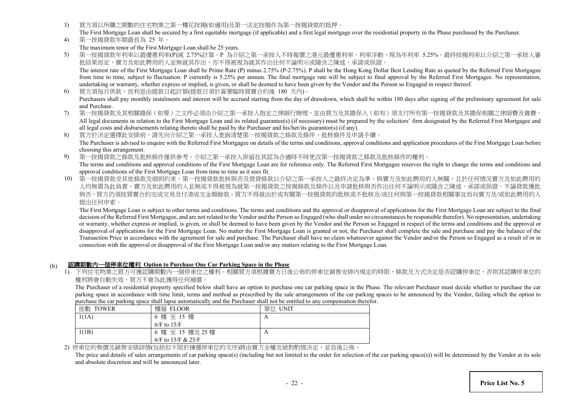- 3) 買方須以所購之期數的住宅物業之第一樓花按揭(如適用)及第一法定按揭作為第一按揭貸款的抵押。
- The First Mortgage Loan shall be secured by a first equitable mortgage (if applicable) and a first legal mortgage over the residential property in the Phase purchased by the Purchaser.
- 4) 第一按揭貸款年期最長為 25 年。 The maximum tenor of the First Mortgage Loan shall be 25 years.
- 5) 第一按揭貸款年利率以最優惠利率(P)減 2.75%計算。P 為介紹之第一承按人不時報價之港元最優惠利率,利率浮動,現為年利率 5.25%。最終按揭利率以介紹之第一承按人審 批結果而定,賣方及如此聘用的人並無就其作出,亦不得被視為就其作出任何不論明示或隱含之陳述、承諾或保證。 The interest rate of the First Mortgage Loan shall be Prime Rate (P) minus 2.75% (P-2.75%). P shall be the Hong Kong Dollar Best Lending Rate as quoted by the Referred First Mortgagee from time to time, subject to fluctuation. P currently is 5.25% per annum. The final mortgage rate will be subject to final approval by the Referred First Mortgagee. No representation, undertaking or warranty, whether express or implied, is given, or shall be deemed to have been given by the Vendor and the Person so Engaged in respect thereof.
- 6) 買方須每月供款,而利息由提款日起計算(提款日須於簽署臨時買賣合約後 180 天內)。 Purchasers shall pay monthly instalments and interest will be accrued starting from the day of drawdown, which shall be within 180 days after signing of the preliminary agreement for sale and Purchase.
- 7) 第一按揭貸款及其相關擔保(如要)之文件必須由介紹之第一承按人指定之律師行辦理,並由買方及其擔保人(如有)須支付所有第一按揭貸款及其擔保相關之律師費及雜費。 All legal documents in relation to the First Mortgage Loan and its related guarantee(s) (if necessary) must be prepared by the solicitors' firm designated by the Referred First Mortgagee and all legal costs and disbursements relating thereto shall be paid by the Purchaser and his/her/its guarantor(s) (if any).
- 8) 買方於決定選擇此安排前,請先向介紹之第一承按人查詢清楚第一按揭貸款之條款及條件、批核條件及申請手續。 The Purchaser is advised to enquire with the Referred First Mortgagee on details of the terms and conditions, approval conditions and application procedures of the First Mortgage Loan before choosing this arrangement.
- 9) 第一按揭貸款之條款及批核條件僅供參考。介紹之第一承按人保留在其認為合適時不時更改第一按揭貸款之條款及批核條件的權利。 The terms and conditions and approval conditions of the First Mortgage Loan are for reference only. The Referred First Mortgagee reserves the right to change the terms and conditions and approval conditions of the First Mortgage Loan from time to time as it sees fit.
- 10) 第一按揭貸款受其他條款及細則約束。第一按揭貸款批核與否及借貸條款以介紹之第一承按人之最終決定為準,與賣方及如此聘用的人無關,且於任何情況賣方及如此聘用的 人均無需為此負責。賣方及如此聘用的人並無或不得被視為就第一按揭貸款之按揭條款及條件以及申請批核與否作出任何不論明示或隱含之陳述、承諾或保證。不論貸款 與否,買方仍須按買賣合約宗成交易及付清成交金額餘款。買方不得就由於或有關第一按揭貸款的批核或不批核及/或任何與第一按揭貸款相關事宜而向賣方及/或如此聘用的人 提出任何申索。

The First Mortgage Loan is subject to other terms and conditions. The terms and conditions and the approval or disapproval of applications for the First Mortgage Loan are subject to the final decision of the Referred First Mortgagee, and are not related to the Vendor and the Person so Engaged (who shall under no circumstances be responsible therefor). No representation, undertaking or warranty, whether express or implied, is given, or shall be deemed to have been given by the Vendor and the Person so Engaged in respect of the terms and conditions and the approval or disapproval of applications for the First Mortgage Loan. No matter the First Mortgage Loan is granted or not, the Purchaser shall complete the sale and purchase and pay the balance of the Transaction Price in accordance with the agreement for sale and purchase. The Purchaser shall have no claim whatsoever against the Vendor and/or the Person so Engaged as a result of or in connection with the approval or disapproval of the First Mortgage Loan and/or any matters relating to the First Mortgage Loan.

## (b) 認購期數內一個停車位權利 **Option to Purchase One Car Parking Space in the Phase**

1) 下列住宅物業之買方可獲認購期數內一個停車位之權利。相關買方須根據賣方日後公佈的停車位銷售安排內規定的時限、條款及方式決定是否認購停車位,否則其認購停車位的 權利將會自動失效,買方不會為此獲得任何補償。

The Purchaser of a residential property specified below shall have an option to purchase one car parking space in the Phase. The relevant Purchaser must decide whether to purchase the car parking space in accordance with time limit, terms and method as prescribed by the sale arrangements of the car parking spaces to be announced by the Vendor, failing which the option to purchase the car parking space shall lapse automatically and the Purchaser shall not be entitled to any compensation therefor.

| 座數 TOWER | 樓層 FLOOR                   | 單位 UNIT |
|----------|----------------------------|---------|
| 1(1A)    | 樓至 15 樓<br>$\sigma$        |         |
|          | $6/F$ to $15/F$            |         |
| 1(1B)    | 樓 至 15 樓及 25 樓<br>$\sigma$ | A       |
|          | 6/F to 15/F & 25/F         |         |

2) 停車位的售價及銷售安排詳情(包括但不限於揀選停車位的次序)將由賣方全權及絕對酌情決定,並容後公佈。

The price and details of sales arrangements of car parking space(s) (including but not limited to the order for selection of the car parking space(s)) will be determined by the Vendor at its sole and absolute discretion and will be announced later.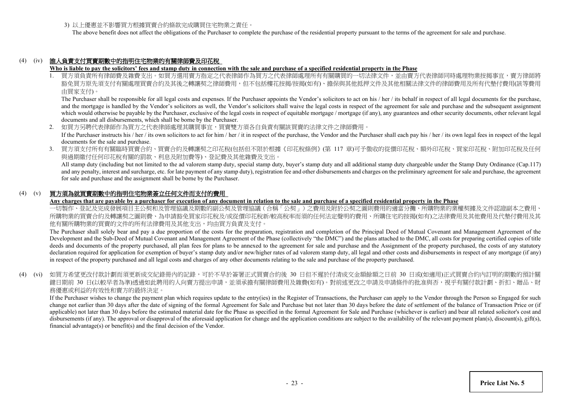3) 以上優惠並不影響買方根據買賣合約條款完成購買住宅物業之責任。

The above benefit does not affect the obligations of the Purchaser to complete the purchase of the residential property pursuant to the terms of the agreement for sale and purchase.

## (4) (iv) 誰人負責支付買賣期數中的指明住宅物業的有關律師費及印花稅

#### **Who is liable to pay the solicitors' fees and stamp duty in connection with the sale and purchase of a specified residential property in the Phase**

1. 買方須負責所有律師費及雜費支出。如買方選用賣方指定之代表律師作為買方之代表律師處理所有有關購買的一切法律文件,並由賣方代表律師同時處理物業按揭事宜 豁免買方原先須支付有關處理買賣合約及其後之轉讓契之律師費用,但不包括樓花按揭/按揭(如有)、擔保與其他抵押文件及其他相關法律文件的律師費用及所有代墊付費用(該等費用 由買家支付)。

The Purchaser shall be responsible for all legal costs and expenses. If the Purchaser appoints the Vendor's solicitors to act on his / her / its behalf in respect of all legal documents for the purchase, and the mortgage is handled by the Vendor's solicitors as well, the Vendor's solicitors shall waive the legal costs in respect of the agreement for sale and purchase and the subsequent assignment which would otherwise be payable by the Purchaser, exclusive of the legal costs in respect of equitable mortgage / mortgage (if any), any guarantees and other security documents, other relevant legal documents and all disbursements, which shall be borne by the Purchaser.

- 2. 如買方另聘代表律師作為買方之代表律師處理其購買事宜,買賣雙方須各自負責有關該買賣的法律文件之律師費用。 If the Purchaser instructs his / her / its own solicitors to act for him / her / it in respect of the purchase, the Vendor and the Purchaser shall each pay his / her / its own legal fees in respect of the legal documents for the sale and purchase.
- 3. 買方須支付所有有關臨時買賣合約、買賣合約及轉讓契之印花稅(包括但不限於根據《印花稅條例》(第 117 章)可予徵收的從價印花稅、額外印花稅、買家印花稅、附加印花稅及任何 與過期繳付任何印花稅有關的罰款、利息及附加費等)、登記費及其他雜費及支出。

All stamp duty (including but not limited to the ad valorem stamp duty, special stamp duty, buyer's stamp duty and all additional stamp duty chargeable under the Stamp Duty Ordinance (Cap.117) and any penalty, interest and surcharge, etc. for late payment of any stamp duty), registration fee and other disbursements and charges on the preliminary agreement for sale and purchase, the agreement for sale and purchase and the assignment shall be borne by the Purchaser.

## (4) (v) 買方須為就買賣期數中的指明住宅物業簽立任何文件而支付的費用

**Any charges that are payable by a purchaser for execution of any document in relation to the sale and purchase of a specified residential property in the Phase**

一切製作、登記及完成發展項目主公契和及管理協議及期數的副公契及管理協議(合稱「公契」)之費用及附於公契之圖則費用的適當分攤、所購物業的業權契據及文件認證副本 所購物業的買賣合約及轉讓契之圖則費、為申請豁免買家印花稅及/或從價印花稅新/較高稅率而須的任何法定聲明的費用、所購住宅的按揭(如有)之法律費用及其他費用及代墊付費用及其 他有關所購物業的買賣的文件的所有法律費用及其他支出,均由買方負責及支付。

The Purchaser shall solely bear and pay a due proportion of the costs for the preparation, registration and completion of the Principal Deed of Mutual Covenant and Management Agreement of the Development and the Sub-Deed of Mutual Covenant and Management Agreement of the Phase (collectively "the DMC") and the plans attached to the DMC, all costs for preparing certified copies of title deeds and documents of the property purchased, all plan fees for plans to be annexed to the agreement for sale and purchase and the Assignment of the property purchased, the costs of any statutory declaration required for application for exemption of buyer's stamp duty and/or new/higher rates of ad valorem stamp duty, all legal and other costs and disbursements in respect of any mortgage (if any) in respect of the property purchased and all legal costs and charges of any other documents relating to the sale and purchase of the property purchased.

(4) (vi) 如買方希望更改付款計劃而須更新成交紀錄冊內的記錄,可於不早於簽署正式買賣合約後 30 日但不遲於付清成交金額餘額之日前 30 日或(如適用)正式買賣合約內訂明的期數的預計關 鍵日期前 30 日(以較早者為準)透過如此聘用的人向賣方提出申請,並須承擔有關律師費用及雜費(如有)。對前述更改之申請及申請條件的批准與否,視乎有關付款計劃、折扣、贈品、財 務優惠或利益的有效性和賣方的最終決定。

If the Purchaser wishes to change the payment plan which requires update to the entry(ies) in the Register of Transactions, the Purchaser can apply to the Vendor through the Person so Engaged for such change not earlier than 30 days after the date of signing of the formal Agreement for Sale and Purchase but not later than 30 days before the date of settlement of the balance of Transaction Price or (if applicable) not later than 30 days before the estimated material date for the Phase as specified in the formal Agreement for Sale and Purchase (whichever is earlier) and bear all related solicitor's cost and disbursements (if any). The approval or disapproval of the aforesaid application for change and the application conditions are subject to the availability of the relevant payment plan(s), discount(s), gift(s), financial advantage(s) or benefit(s) and the final decision of the Vendor.